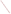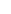**November 1, 2002**

# **SUPPORTING STATEMENT**

# **INFORMATION COLLECTION REQUEST**

# **RENEWAL**

 **for**

# **CUSTOMER SATISFACTION SURVEYS**

**of**

**The United States Environmental Protection Agency ICR 1711.04 OMB No 2090-0019**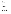|    | <b>Title</b>                                                                                                                                                                                                                                                                                                                                                                                                                          | adic of oolitches                                                                                                                                                                            | Page                                                                                   |
|----|---------------------------------------------------------------------------------------------------------------------------------------------------------------------------------------------------------------------------------------------------------------------------------------------------------------------------------------------------------------------------------------------------------------------------------------|----------------------------------------------------------------------------------------------------------------------------------------------------------------------------------------------|----------------------------------------------------------------------------------------|
| 1. | Identification of the Information Collection<br>1(a) Title of the Information Collection<br>1(b) Short Characterization/Abstract                                                                                                                                                                                                                                                                                                      |                                                                                                                                                                                              | 1<br>1<br>1                                                                            |
| 2. | Need for and Use of the Collection<br>2(a) Need/Authority for the Collection<br>2(b) Practical Utility/Users of the Data                                                                                                                                                                                                                                                                                                              |                                                                                                                                                                                              | 1<br>1<br>3                                                                            |
| 3. | 3(a) Non-duplication<br>3(c) Consultations<br>3(d) Effects of Less Frequent Collection<br>3(e) General Guidelines<br>3(f) Confidentiality<br>3(g) Sensitive Questions                                                                                                                                                                                                                                                                 | Non-duplication, Consultations, and Other Collection Criteria<br>3(b) Public Notice Required Prior to ICR Submission to OMB                                                                  | 4<br>555555<br>5                                                                       |
| 4. | The Respondents and The Information Requested<br>4(a) Respondents/SIC Codes<br>4(b) Information Requested<br>(II) Respondent Activities                                                                                                                                                                                                                                                                                               | (I) Data items, including record keeping requirements                                                                                                                                        | 5<br>5<br>8<br>8<br>8                                                                  |
| 5. | and Information Management<br>5(a) Agency Activities<br>5(b) Collection Methodology and Management<br>5(c) Small Entity Flexibility<br>5(d) Collection Schedule                                                                                                                                                                                                                                                                       | The Information Collected--Agency Activities, Collection Methodology,                                                                                                                        | 12<br>12<br>12 <sub>2</sub><br>15<br>15                                                |
| 6. | Estimating the Burden and Cost of the Collection<br>6(a) Estimating Respondent Burden<br>6(b) Estimating Respondent Costs<br>(I) Labor Costs<br>(IV) Annualizing Capital Costs<br>6(c) Estimating Agency Burden and Cost<br>6(e) Bottom Line Burden Hours and Cost Tables<br>(I) Respondent Tally<br>(II) The Agency Tally<br>(III) Variations in the Annual Bottom Line<br>(IV) Reasons for Change in Burden<br>(V) Burden Statement | (II) Capital and Operations and Maintenance Costs<br>(III) Capital/Start-up vs. Operations and Maintenance (O&M) Costs<br>6(d) Estimating the Respondent Universe and Total Burden and Costs | 16<br>16<br>21<br>21<br>21<br>22<br>22<br>22<br>23<br>25<br>25<br>25<br>25<br>25<br>27 |

# **Table of Contents**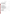# **Title Page**

# **List of Figures**

| Figure 1a - Customer Groups Surveyed 1995-998   | 6  |
|-------------------------------------------------|----|
| Figure 1b - Customer Groups Surveyed 1999-2001  |    |
| Figure 2a - Focus for Improvement 1995-1998     | 8  |
| Figure 2b - Focus for Improvement 1999-2001     | 9  |
| Figure 2c - Focus for Improvement 2003-2005     | 10 |
| Figure 3a - Use of Survey Instruments 1995-1998 | 13 |
| Figure 3b - Use of Surveys 1999-2001            | 13 |
| Figure 4 - Planned Use of Surveys FY 2003-2005  | 15 |

# **List of Tables**

| Table 4-1 - ICR Use 1995-2001                                                  |    |
|--------------------------------------------------------------------------------|----|
| Table 5-1 - Planned Use of Surveys 2003 - 2005                                 | 16 |
| Table 5-2 - Planned Survey Use Averages                                        | 16 |
| Table 6-1 - Burden Table 2003-2005                                             | 17 |
| Table 6-1a - Response Time Summary                                             | 20 |
| Table 6-2 - Respondent Universe, Total Burden and Costs                        | 22 |
| Table 6-3 - Agency Burden/Cost for Telephone Surveys                           | 23 |
| Table 6-4 - Agency Burden/Cost for Mail Surveys                                | 24 |
| Table 6-5 - Agency Burden/Cost for Customer Feedback Forms/Internet Screens 24 |    |
| Table 6-6 - Agency Burden/Cost for Focus Groups                                | 25 |
| Table 6-7 - Aggregate Agency Table for Annual Burden/Cost                      | 26 |
| Table 6-8 - Estimated Agency Costs during FY 2003                              | 27 |
| Table 6-9 - Estimated Agency Costs during FY 2004                              | 28 |
| Table 6-10 - Estimated Agency Costs during FY 2005                             | 29 |
| Table 6-11 - Aggregate EPA Bottom Line                                         | 29 |

# **Exhibits - Samples of OMB - Approved EPA Survey Instruments**

| Exhibit 1 - Comment/Feedback Card                         | 31 |
|-----------------------------------------------------------|----|
| Exhibit 2 - Telephone Survey                              | 32 |
| Exhibit 3 - Web Site Survey                               | 35 |
| Exhibit 4 - Interview Survey                              | 40 |
| Exhibit 5 - Mail/E-Mail Survey                            | 42 |
| Exhibit 6 - Focus Group Guide                             | 45 |
| <b>Exhibit 7 - Evaluation Form</b>                        | 46 |
| Exhibit 8 - Website Feedback Screen (no clearance needed) | 47 |
|                                                           |    |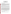# **U.S. ENVIRONMENTAL PROTECTION AGENCY VOLUNTARY CUSTOMER SATISFACTION SURVEYS TO IMPLEMENT EXECUTIVE ORDER (E.O.) 12862**

### **1. Identification of the Information Collection**

### **1(a) Title of the Information Collection:** Voluntary Customer Satisfaction Surveys

#### **1(b) Short Characterization/Abstract**

In accordance with Executive Order 12862, the Environmental Protection Agency is seeking from Office of Management and Budget (OMB) renew of its generic clearance (OMB Control No. 2090-0019, expiring 03/31/03) for a period of three years. The clearance will be used to conduct two types of customer satisfaction surveys: "qualitative" surveys for identifying customer perceptions for expectations through focus groups or laboratory evaluations; and "quantitative" surveys for establishing general attitudes of EPA customers through a statistical sampling of customers. A customer, as described in E.O. 12862, is considered to be "...an individual or entity who is directly served by a department of an Agency."

By seeking renewal of the generic clearance for customer surveys, EPA will have the flexibility to gather the views of our customers to better determine the extent to which our services, products and processes satisfy their needs or need to be improved. The generic clearance will speed the review and approval of customer surveys that solicit opinions from EPA customers on a voluntary basis, and do not involve "fact-finding" for the purposes of regulatory development or enforcement.

EPA sponsoring organizations seeking approval to conduct a customer survey will continue to submit their survey instruments with a brief description to the customer service staff in the Office of Policy, Economics and Innovation within the Office of the Administrator, for a screening/ assistance review of the questions. Following review, endorsed survey packages will be sent to EPA's Information Collections Division within the Office of Environmental Information and then to OMB. OMB will continue to review submissions for compliance with the Paperwork Reduction Act on an expedited schedule. EPA will provide OMB an annual summary of surveys conducted in accordance with OMB's Resource Manual for Customer Surveys (dated October 1993). The EPA estimates that a combination of customer satisfaction surveys (mail, telephone, feedback forms and Internet) and focus group studies will request voluntary responses from approximately 58,077 respondents for an estimated burden of 8,898.8 hours over the three-year period: 21,705 respondents and 3,219.4 hours in FY 2003; 19,267 respondents and 3,085 hours in FY 2004, and 17,855 respondents and 2,594.4 hours during FY 2005, for an average of 9.2 minutes per respondent overall, a drop from 13.4 minutes per response during the last three year period.

#### **2. Need for and Use of the Collection**

#### **2a. Need/Authority for the Collection**

Executive Order 12862, dated September 11, 1993, calls upon agencies to take the following actions:

(a) identify the customers who are, or should be, served by the agency;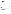- (b) survey customers to determine the kind and quality of services they want and their level of satisfaction with existing services;
- (c) post service standards and measure results against them;
- (d) benchmark customer service performance against the best in business;
- (e) survey front-line employees on barriers to, and ideas for, matching the best in business;
- (f) provide customers with choices in both the sources of service and the means of delivery;
- (g) make information, services, and complaint systems easily accessible, and
- (h) provide means to address customer complaints.

A March 1995 Presidential memo called upon federal agencies to enhance their customer service improvement efforts. A March 1998 Presidential memo underscored the continuing need to improve customer service and directed agencies to provide expanded opportunities for customers to communicate their needs and expectations. The Governmental Performance and Results Act of 1993 requires that agencies gather and use customer feedback. Finally, the President Bush's Management Agenda underscores the need for citizen-centered service delivery, increased satisfaction with government services, and the ability to prove government is doing a better job through measuring outcomes.

Using OMB's Resource Manual for Customer Surveys (dated October 1993), which outlines the steps an Agency must take to obtain a generic clearance for Customer Satisfaction Surveys, and provides guidance on obtaining quality survey results, EPA developed its 1997 and 1999 generic information collection requests to enable staff across the Agency to continue sponsoring customer satisfaction surveys. To reflect the Terms of Clearance for the 1997 ICR, Customer Service Program (CSP) staff developed, distributed and posted on the CSP web site a fact sheet clearly stating the restrictions on the use of this clearance. Efforts were validated when the 2000 Terms of Clearance supported our efforts to improve screening, encouraging staff to consult with the CSP staff.

Under the 2000 clearance during the past three years, EPA has worked cooperatively with OMB to clear approximately 30 survey instruments. CSP staff have advised many more individuals and their contractors that their survey designs could not fit under this ICR. CSP staff worked with others to develop surveys to assist them in gathering information that could serve at least part of their needs through this ICR. If CSP staff could not work with regional and program staff to modify questions to fit the ICR and satisfy the needs of staff and their managers, we rejected their use of the ICR. Our goal has been to ensure that the surveys submitted under this ICR clearly meet the Terms of Clearance that OMB set out when approving it:

 "As stated in OMB's 1999 terms of clearance: "The generic ICR is approved to allow the expedited OMB clearance of EPA customer satisfaction surveys that are simple, straightforward, and narrowly focused to:

1. current or former customers of EPA products or services;

2. the level of satisfaction with an actual service or product provided by EPA that they have utilized; and,

3. their recommendations for improving said product or service."

Surveys that target these elements and are submitted to OMB in accordance with this ICR will be reviewed by OMB within 20 working days. EPA shall provide OMB with an annual report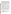outlining the use of this generic clearance, including the number of surveys, the burden imposed, and a brief description of their purposes (a condition of both the 1994 and 1997 clearances). OMB encourages agency staff to consult with EPA's Customer Service Program (CSP) for advice, survey evaluation, and clearance assistance. OMB reserves the authority to disapprove any individual survey that does not meet the conditions outlined in this ICR. This generic clearance does not extend to "fact finding" for the purpose of regulatory development or enforcement. OMB is relying in large part on EPA's internal review and quality control to develop useful customer information. Finally, this generic ICR approval does not, and is not intended to, cover all types of surveys that EPA may wish to do relating to customer satisfaction -- only the narrow range of surveys discussed above. Surveys that do not meet the terms of clearance for this expedited clearance process may be entirely valid and appropriate surveys, but they should be submitted under the normal PRA clearance process. The agency is required to display the OMB control number and inform respondents of its legal significance (see 5 CFR 1320.5(b))."

To fulfill its broad mandate of protecting human health and the environment, the EPA provides a wide variety of voluntary public services ranging from information clearinghouses to educational programs and emergency hot lines. Corresponding to this broad range of services is a diverse universe of EPA customers, loosely defined by E.O. 12862 as "...an individual or entity who is directly served by a department or agency."

EPA expands this definition to include customers who could have, but chose not to participate in an EPA service function, such as persons who were provided the opportunity but did not comment on a permit, participate in a community meeting, join a partnership program, etc. Learning perceptions of our services from those who select not to use them may also assist the Agency in its service innovation efforts. As we continue to redesign our processes and practices, we will be asking customers who use our current services what, from their perspectives, would be the most useful improvements.

Because Agency services and customers are so diverse, the Agency is requesting a generic clearance that will maximize flexibility in the methods used to fulfill the requirements for the Executive Order and expedite OMB review and clearance process of customer satisfaction surveys. EPA maintains a central repository of surveys submitted to OMB in the Regulatory Information Division. In addition, developed a summary of the surveys and collected the analytical reports produced. The CSP staff has shared the findings, analysis and "success stories" following the conduct of surveys so this information can benefit those planning future surveys.

CSP staff continues to be a resource to individuals considering the development of customer satisfaction measurement programs within their organizations, explaining what the customer satisfaction ICR does and does not cover and how to make the best use of it.

### **2(b) Practical Utility/Uses of the Data**

Customer service standards provide a basis for performance measurement systems to determine our success at reaching customers, and provide the necessary framework for a management role in the development and use of the survey results. Information gathered from these surveys will continue to assist EPA to build and validate measurement systems. Survey results may be used to identify:

1) service needs and expectations of EPA customers;

2) strengths and weaknesses of EPA services;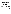- 3) ideas or suggestions for improvement of EPA services from its customers;
- 4) barriers to achieving customer service standards; and
- 5) needed changes to customer service standards.

While the information will not be used for regulatory development, the results of customer surveys could lead to reallocations of resources, revisions in certain Agency processes and policies, and development of guidance related to EPA's customer services. Ultimately, these changes could result in improvements in services, products and processes the Agency provides to the public, and in turn, the public perception of the Agency.

The CSP purchased survey software and a scanner and has trained numerous individuals across the agency to use these resources to simplify satisfaction measurement work. The CSP staff members have provided training in the use of the software, assisted individuals to prepare survey instruments using it, and guided them in using the scanner and reporting features.

To ensure proper design of EPA customer feedback and customer satisfaction measurement activities, increase the use and application of customer feedback, and build internal capacity to carry out these activities, the CSP coordinated development of "Hearing the Voice of the Customer - Customer Feedback and Customer Satisfaction Measurement Guidelines." The "Feedback Guidelines" were first published in November 1998. The CSP has sponsored training workshops on the application of the Guidelines.

A five-stage model for feedback: Plan, Construct, Conduct, Analyze and Act, is the foundation for the Guidelines. The document focuses major attention on the planning phase, with the object being to prevent duplication and poor design, and to eliminate survey work that will not result in actions that can benefit customers and the agency. A long series of detailed questions supplement the Guidelines to further assist the Feedback Advisors and others. The document is available on the Internet (http://www.epa.gov/customerservice/guide.htm), and is being used by individuals in other federal and state agencies to guide their feedback efforts.

The Guidelines and questions are not our only resources. To help ensure that feedback information used in an appropriate fashion, CSP staff encourage EPA programs to develop surveys consistent with OMB's Resource Manual for Customer Surveys, EPA's Survey Management Handbook and to take advantage of survey development training such as that offered by the Joint Program in Survey Methodology (JPSM). The EPA Customer Service will continue to facilitate sharing of information gathered from customer satisfaction surveys, and explore ways to aid programs in survey development.

As a result of past survey feedback, sponsors have taken actions to change to revamp our dockets, to streamline processes and improve regularly issued documents. Most recently, focus groups and web based survey responses were used to guide the complete redesign of EPA's web site.

### **3. Non-duplication, Consultations, and Other Collection Criteria**

## **3(a) Non-duplication**

EPA service providers develop customer satisfaction surveys to learn how their customers perceive their specific services. Therefore, the information collected will not overlap with other customer satisfaction surveys. Every effort will be made to channel all customer related surveys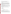through this ICR and to prevent misuse of this ICR for program effectiveness surveys.

## **3(b) Public Notice Required Prior to ICR Submission to OMB**

EPA conformed to the requirement for public notice by publishing a preliminary and final Federal Register Notice concerning our intent under this ICR and requesting comment.

# **3(c) Consultations**

CSP staff used the same process for developing this ICR application that they used to develop the 1997 and 1999 applications. Staff in all regions and offices received a request for input to the application. This ICR was prepared in consultation with representatives from all organizations that responded to the opportunity to outline their survey through the year 2005 and into 2006. This feedback was used to develop the estimates described in Figures 3b and 4, and to prepare the estimates of respondent burden (See Section 6.) and the Estimated Respondent Burden Table (Table 6-1**).**

# **3(d) Effects of Less Frequent Collection**

This information collection could not be conducted less frequently. EPA will gage customer reactions to and perceptions of services and products the Agency now provides in order to improve them. Programs will not survey all customers, nor will each program survey every year. There will be sufficient time between surveys to allow the actions taken in response to customer comments to show results. There are no technical or legal obstacles to reducing the burden.

# **3 (e) General Guidelines**

This ICR complies with OMB's general guidelines for the collection of information.

### **3(f) Confidentiality**

Not applicable

# **3(g) Sensitive Questions**

No sensitive data will be collected.

# **4. The Respondents and the Information Requested**

### **4(a) Respondents/SIC Codes**

The Executive Order describes a customer as "...an individual or entity who is directly served by a department or agency." The EPA, by the very nature of its mandate, serves very large and diverse groups that receive or are in some way affected by EPA services.

Figures 1a and b display information about past EPA customer surveys under this general clearance. They provide an overview of EPA customer groups targeted for customer satisfaction surveys. Because several customer groups use the same services, a survey may reach more than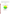one of the designated customer categories. (The code standard industrial code (SIC) for "General Public"is 99.)

Figures 1a and b show the customer segments surveyed before and after 1998, respectively; the table provides the annual number of surveys, respondents and burden hours for the years 1995 through 1998 (under previous ICRs), and under the current ICR, as well as the averaged numbers.

**Figure 1a** 

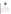# **Figure 1b**

**Customer Groups Surveyed 1999-2001** 



# **Table 4 - 1 ICR Use 1995 - 2001**

| Year                                       | # Surveys | <b>Respondents</b> | <b>Burden Hours</b> |
|--------------------------------------------|-----------|--------------------|---------------------|
| 1995                                       | 20        | 16,735             | 4,395.5             |
| 1996                                       | 12        | 12,144             | 3,476.5             |
| 1997                                       | 16        | 16,275             | 3,234.0             |
| 1998                                       | 22        | 16,279             | 1,478.4             |
| <b>Average for</b><br><b>Previous ICRs</b> | 17.5      | 15,358.25          | 3,146.1             |
| 1999                                       | 11        | 5,025              | 451.5               |
| 2000                                       | 12        | 5,804              | 570.25              |
| 2001                                       | 7         | 3,914              | 445.56              |
| <b>Average for Current</b><br><b>ICR</b>   | 10        | 4,914              | 489.1               |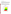# **4(b) Information Requested**

(I) Data items, including record keeping requirements

The Agency will maintain records of the surveys sent to OMB in the ICD. Offices sponsoring the surveys will retain files of the surveys, responses and analysis. Since customer satisfaction surveys seek to gauge public opinions on Agency services, the surveys have not and will not involve respondents in extensive searching of existing sources, or reformatting information to submit to the Agency. The Agency does not anticipate any public record keeping activities under this ICR.

(II) Respondent Activities

EPA customer satisfaction surveys have focused on services (hot lines, dockets, clearinghouse, websites), products (technical assistance, documents, information, training, workshops) and processes (grants, inspections, registrations, permitting). Figure 2a displays the focus of customer service surveys under the customer service ICR through 1998. Figure 2b shows the focus from 1999- 2001. Figure 2c arrays the focus of surveys planned for 2003-2005.



# **Figure 2a**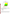# **Figure 2b**



The surveys conducted under this clearance are of two major types, "quantitative" and qualitative. Respondent activities related to "quantitative" are dependent on the survey method; feedback instrument types and the activities for each follow.

Mail surveys and Customer Feedback Forms (including comment cards, evaluation forms and some web-based surveys)<sup>1</sup>. Both *may* involve the following activities:

- Read instructions;
- Search data sources;
- Complete questionnaire;
- Mail questionnaire.

1

Customer feedback forms/comment cards/evaluation forms are considered to be short, 5 to 15 question forms that typically accompany, and seek feedback for a specific service (such as a training course, or "over the counter" service) or product (such as a m anual, software, etc). Internet (web based) surveys also fit into this category. Mail surveys may involve more extensive questionnaires and may require more rigorous statistical sampling methodology to evaluate a certain group or groups' perceptions about a service the Agency offers.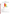# **Figure 2c**



# hone Surveys

Telep

- Listen to instructions:
- Answer questions (oral response)

EPA expects to continue its use of these surveys. Respondent activities related to "qualitative" feedback may include:

Focus Groups or Interviews

- Listening to group instructions
- Participating in discussions;
- Completing any forms or materials provided at the group session.

EPA uses focus groups for evaluating various aspects of its programs, to assist in improving and testing of outreach materials and web sites, and to explore new aspects of service delivery.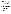*Training/Education/Outreach products and services*. EPA gathers feedback on its training, outreach products and educational programs through a variety of methods. The Agency distributes a broad array of materials to the public such as public affairs materials, videos, brochures and fact sheets, software, manuals, guidance material, reports, etc. It also hold many meetings, workshops and training sessions. Corresponding to this diverse set of products is a need to make extensive use of a variety of methods to evaluate customer satisfaction. EPA uses feedback forms in publications and on counters in service delivery areas, focus groups, mail and telephone surveys, and, when publications are available on the Internet, the Agency is using short on-line surveys to solicit customer input. Offices also ask for feedback on the usefulness of their web sites.

Many of these evaluation activities can use feedback forms to be completed by attendees after an EPA-sponsored event, or by users of documents, software or web sites. Focus groups are also useful for pre-testing EPA training materials (videos, brochures, etc.) prior to their dissemination to the public. Mail or telephone surveys help EPA identify a need for changes in training/educational programs, outreach products or services to assure their usefulness to a specific audience.

*Hot lines/PICs/clearinghouses*. Hotline evaluations are conducted on selected samples of hotline users. By their very nature, hotline customers will most often be surveyed by telephone. However, more complex surveys may require face-to-face interviews, focus sessions, or mail questionnaires. In addition, comment cards are used periodically when information packets are mailed by hotline, Public Information Center (PIC) or clearinghouse staff.

*Miscellaneous Service Related Activities*. The EPA has a broad network consisting of its headquarters and regional offices, laboratories, and field offices that may conduct customer surveys on outreach and other services that they provide. Most mail and telephone surveys are conducted under this "miscellaneous" category.

To reduce respondent burden, EPA has been expanding use of Internet feedback screens and comment blocks to provide increased opportunity for customers to comment on attributes of our services and web sites. Fewer offices each year develop lengthy questionnaires. Focus groups, though they require higher respondent burden, are still used because of the specificity and the depth of responses that offices/regions can obtain from them.

The redesign of EPA's web pages required comment buttons on all EPA Internet sites. The Agency is therefore receiving and will continue to receive informal feedback and questions that are purely voluntary and not solicited specifically through sets of Agency questions of nine or more individuals outside the Federal government. We plan to continue to manage and act upon such customer information, particularly to improve EPA's on-line information service on Internet.

OMB's Resource Manual for Customer Surveys (dated October 1993) and other relevant guidance documents state that the generic clearance shall be used for "strictly voluntary collections of opinion information from clients that have experience with the program that is the subject of each data collection" and precludes this option for use:

- by regulatory agencies to survey regulated entities<sup>2</sup>;
- in any situation where a respondent may perceive that a response will result in risks to his interests through potential penalties or loss of benefits;
- for collecting factual information (other than simple identifying information, where

 $^2$  EPA interprets this to preclude any EPA purposes of regulatory development or enforcement.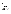needed); or

for collecting data from the general public. $3$ 

# **5. The Information Collected**

# **Agency Activities, Collection Methodology, and Information Management**

- 5(a) Agency Activities. Agency activities associated with the collection of information include:
- Developing survey design, assembling data sources (mailing lists, etc.) and pretesting questionnaire;
- Internal EPA review and approval of questionnaire;
- Disseminating questionnaire to respondents;
- Gathering information from respondents;
- Answering respondent questions, follow-up;
- Reviewing data;
- Recording submissions and analyzing results;
- Preparing findings;
- Storing and maintaining results
- Making results public via annual reports and Internet.

We do not account for the work of implementing and tracking actions taken as a result of customer feedback.

# **5(b) Collection Methodology and Information Management**.

Figure 3a displays EPA's use of different types of customer satisfaction surveys requiring OMB review and approval from 1995 through June 1999; Figure 3b shows use over the past three years. Included are surveys conducted by EPA program offices, regions and headquarters elements. The chart shows that: mail surveys remained the most popular instrument, use of focus groups dropped off (highly ambitious plans were dropped), and the proportion of web surveys increased. Prior to initiating any survey, sponsoring programs must seek final approval from OMB. EPA's CSP staff will continue to encourage survey sponsors to develop instruments using the twelve step process outlined in OMB's Resource Manual for Customer Satisfaction Surveys (dated October 1993). The following internal review process, independent of the originating program office, will continue:

1. To obtain approval, sponsoring programs must submit a clearance package consisting of a memorandum from the program or office director and a copy of the survey instrument through the Customer Service Program to the Information Collections Division in the Office of Environmental Information that will forward acceptable packages to OMB.

 $^3$  EPA interprets this to mean random sampling of the general public in a "market research" mode.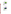# **Figure 3a**





Use of Survey Instruments 1999 - 2001

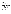The memorandum must address the following  $4$ :

- o Survey title, identification of survey originator (Office, point of contact/phone number,)
- o Description and intended purpose of the survey as it relates to EPA customers
- o Methodology and use of anticipated results
- o Collection schedule, follow-up plans
- o Costs and burden to the Agency and respondents, and the number of respondents
- The memorandum will vary in length and detail, depending on the complexity of the survey. ICD staff, experienced with the requirements of the Paperwork Reduction Act (PRA), will review each submission to ensure that it meets the requirements of the PRA and any conditions of the generic approval, and may reject any proposed customer survey that does not meet the criteria outlined in Section 3(b).
- Statistical methods will not be used for many of the collections covered under this generic clearance. However, if a collection does use statistical methods to select a sample, answers to questions 1 through 5 in the section of the OMB guidelines for preparing supporting statements will be provided for that specific survey at the time the survey instrument is sent to OMB for clearance. If statistical design or methodological issues arise, the program will obtain Agency statistical expertise to help make any final determinations as to the statistical validity of the customer survey prior to OMB submittal.
	- ICD will submit surveys and attached materials to OMB for an expedited review and determination. On an annual basis, the EPA shall submit a summary of the surveys cleared under the generic clearance to OMB. The summary shall include the survey title, sponsoring office, number of respondents and estimated burden hours.
- Sponsoring organizations within the EPA should maintain records according to each survey schedule. In general, survey results should be maintained for three years or until after follow-up activities have been completed.
- All offices will provide copies of their approved surveys, analytical reports and follow-up actions taken based on survey results to customer service.
- The customer service staff will share results and success stories with other offices and provide feedback to ICD on overall survey results. This base of experiences/lessons-learned could be useful in establishing model surveys for developing customer measurement programs within the EPA and other Agencies.

Figure 4 depicts the planned use of survey instruments for 2003 - 2005. Averages for the survey types were computed based on five basic types: feedback (to include comment cards, feedback and short evaluation forms), web based questionnaires, mail surveys, telephone surveys/short interviews and focus groups/long interviews. These are displayed in Table 5-2.

4

For customer feedback forms and short questionnaires, a one page memorandum should be sufficient. Mail or telephone surveys making use of statistical sampling must include the statistician's name/phone, and a brief description of the statistical aspects of the survey, such as the statistical approach, population coverage, survey design, precision requirement, and pretests/pilot tests.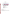# **Figure 4**

# **Planned Use of Survey Instruments**

2003 - 2005



- **5 (c) Small Entity Flexibility.** Not applicable.
- **5 (d) Collection Schedule**.

This will be dependent upon the needs of each originator of a survey. Schedules for customer surveys will be documented in the package submitted to the Information Collections Division for review and submittal to OMB.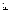| <b>Survey Type</b>                               | 2003<br>2004          |                          | 2005 | <b>Total</b> |  |
|--------------------------------------------------|-----------------------|--------------------------|------|--------------|--|
| Feedback/Com-<br>ment/Evaluation<br><b>F</b> orm | 6                     | 5                        | 5    | 16           |  |
| Mail/detailed<br>evaluation form                 | 28(3)<br>instruments) | 28                       | 28   | 84           |  |
| Telephone                                        | $\overline{2}$        | 4<br>(2 new instruments) | 2    | 8            |  |
| Web based*                                       | 12                    | 10                       | 9    | 31           |  |
| <b>Focus Group</b>                               | 15<br>(1 instrument)  | 16<br>(1 new instrument) | 15   | 46           |  |
| Total                                            | 63                    | 63                       | 59   | 185          |  |

**Table 5-1 Planned Use of Surveys 2003 - 2005**

Unless noted in the table above, all instruments will be developed in 2003.

#### **Table 5-2 Planned Survey Averages**

#### **Survey Type Average Uses/year 2003-2005**

| Feedback/evaluation form | 5.33  |
|--------------------------|-------|
| Web-based surveys        | 10.33 |
| Mail Surveys*            | 28.0  |
| Telephone Surveys        | 2.6   |
| Focus Groups**           | 15.33 |
| Instruments              | 61.59 |

\* 26 of the uses in each year will be for the same instrument to evaluate a training guide.

\*\* 45 of the 46 focus groups over the 3 year period will use the same instrument. In 2004, one new focus group instrument will be developed for a one time use.

#### **6. Estimating the Burden and the Cost of the Collection**

#### **6(a) Estimating Respondent Burden**.

The estimate was based on the survey plans of EPA programs as summarized in Table 6-1. Table 6-1a summarizes respondent burden over the three years by survey type.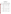# **Table 6-1 EPA CUSTOMER SATISFACTION SURVEYS INFORMATION COLLECTION REQUEST BURDEN TABLE 2003 - 2005**

| Feedback                                     | <b>Office</b>              | Time/                                                                         | <b>Total</b>                | Time                                                                       | <b>Total</b>                | Time                                                                  | <b>Total</b>             |
|----------------------------------------------|----------------------------|-------------------------------------------------------------------------------|-----------------------------|----------------------------------------------------------------------------|-----------------------------|-----------------------------------------------------------------------|--------------------------|
| Instrument                                   |                            | response<br># uses<br>hours                                                   | People<br><b>Responding</b> | /respons<br>e<br># uses<br>hours                                           | People<br><b>Responding</b> | /respons<br>e<br># uses<br>hours                                      | People<br>Respondin<br>g |
| web site user<br>surveys; e-<br>mail surveys | <b>OEI</b><br>website      | $(3 \text{ min } x)$<br>2,000<br>people)<br>100 hours                         | 2000                        | $(3 \text{ min } x)$<br>2,000<br>people)<br>100 hours                      | 2000                        | $(3 \text{ min } x)$<br>2,000<br>people)<br>100 hours                 | 2000                     |
|                                              | OEI<br>services            | $(30 \text{ min } x)$<br>60 people<br>x <sub>5</sub><br>uses/yr)<br>150 hours | 300                         | $30 \text{ min} x$<br>60 people<br>x <sub>5</sub><br>uses/yr)<br>150 hours | 300                         | $(30 \text{ min } x)$<br>60 people<br>x 5<br>uses/yr)<br>150<br>hours | 300                      |
|                                              | R <sub>3</sub>             | (2min x)<br>250<br>people)<br>8.33<br>hours                                   | 250                         |                                                                            |                             |                                                                       |                          |
|                                              | $OW*$<br>training<br>guide | $(10 \text{ min } x)$<br>1500)<br>250 hours                                   | 1,500                       | $(10 \text{ min } x)$<br>1500)<br>250<br>hours                             | 1,500                       | $(10 \text{ min } x)$<br>1500)<br>250<br>hours                        | 1,500                    |
|                                              | <b>OSW</b>                 | $(10 \text{ min } x)$<br>1,000<br>people)<br>166.66<br>hours                  | 1,000                       | $(10 \text{ min } x)$<br>1,000<br>people)<br>166.66<br>hours               | 1,000                       | $(10 \text{ min } x)$<br>1,000<br>people)<br>166.66<br>hours          | 1,000                    |
|                                              | <b>OSWER</b>               | $(10 \text{ min } x)$<br>1,000<br>people<br>166.66                            | 1,000                       | $(10 \text{ min } x)$<br>1,000<br>people<br>166.66                         | 1,000                       |                                                                       |                          |
|                                              | OPEI<br>website            | $(3 \text{ min } x)$<br>2,000<br>people)<br>100hours                          | 2,000                       | $(3 \text{ min } x)$<br>2,000<br>people)<br>100 hours                      | 2,000                       | $(3 \text{ min } x)$<br>2,000<br>people)<br>100 hours                 | 2,000                    |

2003 2004 2005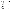| Feedback<br>Instrument | <b>Office</b>     | Time/<br>response<br># uses<br>hours                   | <b>Total</b><br>People<br><b>Responding</b> | Time<br>/respons<br>е<br># uses<br>hours                | <b>Total</b><br>People<br><b>Responding</b> | Time<br>/respons<br>e<br># uses<br>hours                | <b>Total</b><br>People<br>Respondin<br>g |
|------------------------|-------------------|--------------------------------------------------------|---------------------------------------------|---------------------------------------------------------|---------------------------------------------|---------------------------------------------------------|------------------------------------------|
|                        | OPEI<br>e-mail    | $(10 \text{ min } x)$<br>500<br>people)<br>83.3        | 500                                         | $(10 \text{ min } x)$<br>500<br>people)<br>83.3         | 500                                         | $(10 \text{ min } x)$<br>500<br>people)<br>83.3         | 500                                      |
|                        | OSWER<br>database | $(5 \text{ min } x)$<br>3,600<br>people)<br>300 hours  | 3,600                                       |                                                         |                                             |                                                         |                                          |
|                        | <b>OECA</b>       | $(5 \text{ min } x)$<br>275<br>people)<br>22.9 hours   | 275                                         | $(5 \text{ min } x)$<br>275<br>people)<br>22.9<br>hours | 275                                         | $(5 \text{ min } x)$<br>275<br>people)<br>22.9<br>hours | 275                                      |
|                        | <b>OPPTS</b>      | $(3 \text{ min } x)$<br>1,000<br>people)<br>50 hours   | 1,000                                       | $(3 \text{ min } x)$<br>1,500<br>people)<br>75 hours    | 1,500                                       | $(3 \text{ min } x)$<br>2,000<br>people)<br>100 hours   | 2,000                                    |
|                        | <b>OPPTS</b>      | $(3 \text{ min } x)$<br>1,000<br>people)<br>50 hours   | 1,000                                       | $(3 \text{ min } x)$<br>1,500<br>people)<br>75 hours    | 1,500                                       | $(3 \text{ min } x)$<br>2,000<br>people)<br>100 hours   | 2,000                                    |
| feedback<br>card       | <b>OSW</b>        | $(10 \text{ min } x)$<br>2,000<br>people)<br>333 hours | 2,000                                       | $(10 \text{ min } x)$<br>2,000<br>people)<br>333 hours  | 2,000                                       | $(10 \text{ min } x)$<br>2,000<br>people)<br>333 hours  | 2,000                                    |
|                        | <b>OPPTS</b>      | $(3 \text{ min } x)$<br>350<br>people)<br>17. Hours    | 350                                         | $(3 \text{ min } x)$<br>350<br>people)<br>17. Hours     | 350                                         | $(3 \text{ min } x)$<br>350<br>people)<br>17. Hours     | 350                                      |
| focus groups           | <b>OEI</b>        | 2hrs/(20<br>people<br>x15uses/yr<br>600 hours          | 300                                         | 2hrs/(20<br>people<br>x15uses/y<br>r)<br>600 hours      | 300                                         | 2hrs/(20)<br>people<br>x15uses/y<br>r)<br>600 hours     | 300                                      |
|                        | R <sub>3</sub>    |                                                        |                                             | $(2hr \times 12)$<br>people)<br>24 hours                | 12                                          |                                                         |                                          |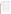| I                       |  |
|-------------------------|--|
| ľ                       |  |
| ĺ<br>I                  |  |
| Í<br>I                  |  |
| $\mathfrak l$<br>I<br>I |  |
| J                       |  |
| ŀ                       |  |
| l                       |  |
| L                       |  |
| Ľ                       |  |
| Ĺ<br>ı<br>$\big(\big)$  |  |
| ſ                       |  |
| l<br>ו                  |  |
| I                       |  |

| Feedback<br>Instrument                                                           | <b>Office</b>                         | Time/<br>response<br># uses<br>hours                                  | <b>Total</b><br>People<br><b>Responding</b> | Time<br>/respons<br>е<br># uses<br>hours                               | <b>Total</b><br>People<br><b>Responding</b> | Time<br>/respons<br>е<br># uses<br>hours                               | <b>Total</b><br>People<br>Respondin<br>g |
|----------------------------------------------------------------------------------|---------------------------------------|-----------------------------------------------------------------------|---------------------------------------------|------------------------------------------------------------------------|---------------------------------------------|------------------------------------------------------------------------|------------------------------------------|
| evaluations<br>of meetings/<br>workshops/tr<br>ainings/<br>publicationms<br>etc. | <b>OAR</b><br>Toolkit for<br>teachers | $(15 \text{ min } x)$<br>1,000)<br>250 hours                          | 1,000                                       |                                                                        |                                             |                                                                        |                                          |
|                                                                                  | OW*<br>training                       | $(10 \text{ min } x)$<br>40 people<br>$x 25$ uses)<br>166.66<br>hours | 1,000                                       | $(10 \text{ min } x)$<br>40 people<br>x 25<br>uses)<br>166.66<br>hours | 1,000                                       | $(10 \text{ min } x)$<br>40 people<br>x 25<br>uses)<br>166.66<br>hours | 1,000                                    |
|                                                                                  | OW*<br>training<br>guide              | $(10 \text{ min } x)$<br>500<br>people)<br>83.33<br>hours             | 500                                         | $(10 \text{ min } x)$<br>500<br>people)<br>83.33<br>hours              | 500                                         | $(10 \text{ min } x)$<br>500peopl<br>e)<br>83.33<br>hours              | 500                                      |
|                                                                                  | <b>OECA</b>                           | $10$ min $x$<br>550<br>people)<br>91.66<br>hours                      | 550                                         | $10$ min $x$<br>550<br>people)<br>91.66<br>hours                       | 550                                         | $10$ min $x$<br>550<br>people)<br>91.66<br>hours                       | 550                                      |
|                                                                                  | <b>OECA</b>                           | $(10 \text{ min } x)$<br>600<br>people)<br>100 hours                  | 600                                         | $(10 \text{ min } x)$<br>600<br>people)<br>100 hours                   | 600                                         | $(10 \text{ min } x)$<br>600<br>people)<br>100 hours                   | 600                                      |
|                                                                                  | OPEI                                  | $(10 \text{ min } x)$<br>500<br>people)<br>83.3 hours                 | 500                                         | $(10 \text{ min } x)$<br>500<br>people)<br>83.3<br>hours               | 500                                         | $(10 \text{ min } x)$<br>500<br>people)<br>83.3<br>hours               | 500                                      |
| mail survey                                                                      | R <sub>3</sub>                        | 10 $min x 75$<br>people)<br>12.5 hours                                | 75                                          | 10min x<br>75<br>people)<br>12.5                                       | 75                                          | 10min x<br>75<br>people)<br>12.5                                       | 75                                       |
|                                                                                  |                                       | 10 $min x 75$<br>people)<br>12.5 hours                                | 75                                          | hours<br>10min x<br>75<br>people)<br>12.5<br>hours                     | 75                                          | hours<br>10min x<br>75<br>people)<br>12.5<br>hours                     | 75                                       |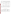|                     |                | #uses<br>hours                                 | Responding                                                                                                                                                   | е<br># uses<br>hours                                  | Responding  | е<br># uses<br>hours                              | respo<br>g |
|---------------------|----------------|------------------------------------------------|--------------------------------------------------------------------------------------------------------------------------------------------------------------|-------------------------------------------------------|-------------|---------------------------------------------------|------------|
| telephone<br>survey | <b>OAR</b>     |                                                |                                                                                                                                                              | $(15 \text{ min} x)$<br>1,000<br>people)<br>250 hours | 1,000       |                                                   |            |
|                     | R <sub>3</sub> | $(10 \text{ min } x)$<br>30 people)<br>5 hours | 30                                                                                                                                                           | $(10 \text{ min } x)$<br>30<br>people)<br>5 hours     | 30          | $(10 \text{ min } x)$<br>30<br>people)<br>5 hours | 30         |
|                     | <b>OSW</b>     |                                                |                                                                                                                                                              | $(15 \text{ min } x)$<br>400<br>people)<br>100 hours  | 400         |                                                   |            |
|                     | <b>RCRA</b>    | $10$ min $x$<br>300<br>people)<br>50 hrs       | 300                                                                                                                                                          | $10$ min $x$<br>300<br>people)<br><b>50 hrs</b>       | 300         | $10$ min $x$<br>300<br>people)<br>50 hrs          | 300        |
| <b>TOTALS</b>       |                | 3, 219.4                                       | 21,705                                                                                                                                                       | 3,085                                                 | 19, 267     | 2,<br>594.41                                      | 17,85      |
| web site)           |                |                                                | * OW will use the same survey instrument for the three applications (following training, in the training guide and on t<br>Table 6 -1a Response Time Summary |                                                       |             |                                                   |            |
| Year                |                |                                                |                                                                                                                                                              |                                                       |             |                                                   |            |
|                     |                | <b>Respondents</b>                             | <b>Burden Hours</b>                                                                                                                                          |                                                       |             | <b>Average Response Time*</b>                     |            |
| 2003                | 21, 705        |                                                | 3, 219.4                                                                                                                                                     |                                                       | 8.9 minutes |                                                   |            |
| 2004                | 19,267         |                                                | 3,085.0                                                                                                                                                      |                                                       | 9.6 minutes |                                                   |            |
| 2005                | 17,855         |                                                | 2,594.4                                                                                                                                                      |                                                       | 8.7 minutes |                                                   |            |

**Feedback**

 **Office Time/**

\* Average Response Time has dropped from the 1999 ICR level of 13.4 minutes (14.1, 13.1, 12.7 minutes for 2000, 2001 and 2002)

| Instrument          |                | response<br># uses<br>hours                    | People<br><b>Responding</b> | /respons<br>е<br># uses<br>hours                       | People<br><b>Responding</b> | /respons<br>e<br># uses<br>hours                  | People<br>Respondin<br>g |
|---------------------|----------------|------------------------------------------------|-----------------------------|--------------------------------------------------------|-----------------------------|---------------------------------------------------|--------------------------|
| telephone<br>survey | <b>OAR</b>     |                                                |                             | $(15 \text{ min } x)$<br>1,000<br>people)<br>250 hours | 1,000                       |                                                   |                          |
|                     | R <sub>3</sub> | $(10 \text{ min } x)$<br>30 people)<br>5 hours | 30                          | $(10 \text{ min } x)$<br>30<br>people)<br>5 hours      | 30                          | $(10 \text{ min } x)$<br>30<br>people)<br>5 hours | 30                       |
|                     | <b>OSW</b>     |                                                |                             | $(15 \text{ min } x)$<br>400<br>people)<br>100 hours   | 400                         |                                                   |                          |
|                     | <b>RCRA</b>    | $10$ min $x$<br>300<br>people)<br>50 hrs       | 300                         | $10$ min $x$<br>300<br>people)<br>50 hrs               | 300                         | $10$ min $x$<br>300<br>people)<br>50 hrs          | 300                      |
| TOTALS              |                | 3, 219.4                                       | 21,705                      | 3,085                                                  | 19, 267                     | 2,<br>594.41                                      | 17,855                   |

**Total**

**Time**

**Total**

**Time**

**Total**

| Table 6 -1a Response Time Summary |  |  |
|-----------------------------------|--|--|
|                                   |  |  |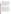Recent feedback from EPA programs suggests continuing interest in using customer satisfaction surveys as part of the overall long-term strategy of these organizations. The EPA estimates 3, 219.4 hours of respondent burden on the part of 21,705 individuals in FY 2003; 3, 085 hours from 19, 267 respondents in FY 2004, and 2,594.4 hours of burden from 17,855 respondents in FY 2005, a three year total of 8,898.8 hours and 58,827 respondents, for an average of 9.2 minutes per respondent.

The EPA program staff planning to use this generic clearance know that burden should be as low as possible in keeping with the Paperwork Reduction Act. Survey designs will be simple, convenient, easy to respond to, and clear in content and purpose. Few long surveys will be designed; most surveys will be of limited scope and require only a short time to complete. Many comments card/feedback forms will be used, and programs will continue to increase their use of web based feedback. However, several major projects are planned:

Figure 4 (page 15) displays the types and number of uses for five types of survey instruments. If programs succeed in their expanded use of Internet for customer satisfaction surveys, burden could be further reduced. EPA may achieve additional reductions by eliminating some planned surveys through sharing results of completed surveys across the Agency.

# **6(b) Estimating Respondent Costs**

### I Labor Costs

Since the respondents represent such a diverse group, EPA based wage estimates on the Bureau of Labor Statistics (BLS) of the U.S. Department of Labor weekly earnings of wage and salary workers as reported on July 22, 2002, in the BLS news release "Usual Weekly Earnings of Wage and Salary Workers: Second Quarter 2002." The weekly earnings are \$608.00; this computes to \$15.20 per hour for a 40 hour week.

There is no need for "developing, acquiring, or utilizing technology and systems for the purpose of collecting, validating or verifying information," "....disclosing and providing information," "adjusting the existing ways to comply with any previously applicable instructions or requirements," "training personnel to be able to respond to a collection of information," "searching data sources," nor a need for the respondents to keep records. Burden activities include only a few steps: reviewing instructions, responding, and sending (e-mail or mail) responses when the surveys are not performed in person or over the telephone.

 Table 6-2 displays the annual burden estimates for respondents and total estimated respondent costs. The average burden estimate was derived by dividing the total hours for years one through three (8,898.8) and dividing by the total respondents (58,827). The average hours per response is 0.15 hours, or 9.19 minutes per respondent. The average cost per response over the three-year period is estimated to be \$2.33 (\$15.20/hour= \$0.253/minute; 9.19 x \$0.253=\$2.33 per response).

II Capital and Operations and Maintenance Costs Not applicable.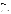- III Capital/Start-up vs. Operating and Maintenance (O & M) Costs Not applicable.
- IV Annualizing Capital Costs Not applicable.

# **6 (c) Estimating Agency Burden and Cost**.

Tables 6-3 through 6-7 provide the annual estimates for agency burden associated with developing, disseminating customer surveys and analyzing the results. Wage estimates were divided into three categories of labor: Management (GS-15), Technical (GS-13), and Clerical (GS- $7)$ .<sup>5</sup> Rates used in 1999 were increased by 10%. (See Figure 4 and Table 5 -1 for yearly plan totals by survey instrument type.)

| <b>Survey Type</b>                               | 3 years<br><b>Surveys</b> | <b>Respondents</b><br>(Thousands) | <b>Burden</b><br>Hours/Survey | <b>Total</b><br><b>Hours</b> | <b>Total Cost</b> |
|--------------------------------------------------|---------------------------|-----------------------------------|-------------------------------|------------------------------|-------------------|
| Mail                                             | 84                        | 4.95                              | $0.207$ hours                 | 1,024.88                     | 15,578.17         |
| Telephone                                        | 8                         | 2.39                              | 0.169 hours                   | 405                          | 6,156.00          |
| Feedback<br>cards,<br>evaluations +<br>Web-based | 47                        | 50.57                             | $0.115$ hours                 | 5,836.61                     | 88,716.47         |
| Focus<br>Groups                                  | 46                        | .91                               | 2.0 hours                     | 1,824                        | 27,724.80         |
| Totals                                           | 185                       | 58.82<br>(58,827)                 |                               | 9,090.49                     | \$138,175.44      |

# **Table 6-2 Respondent Universe, Total Burden and Costs**

The Customer Service Program and Information Collection staffs will be sharing information and survey instruments across the Agency. Feedback Advisors will also use this information to assist people. Costs per instrument should continue to be reduced as Agency staff members gain experience with feedback through Internet, and with developing and analyzing surveys of other types. However, since these cost reductions cannot be accurately estimated, aggregate annual costs that follow do not reflect these cost reductions to the Agency.

Based on past use of the ICR over the years, the Agency is not likely to issue every survey now planned; some may be recognized as duplicative during internal clearance. Development costs may be reduced if several organizations use the same instrument (as has been done with the agency wide web site users survey), or if results of one group's survey can be applied to one or more units within the Agency.

In the tables presenting the cost estimates, when an instrument is to be used many times as they will be for focus groups, feedback cards/web surveys and an evaluation of training, development costs will not be reflected for each use. Costs for activities after survey development

5

Agency hourly wages estimates were made using the 1999 figure plus 10%.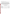and approval will be reflected for each use. Even this methodology does not properly represent the reduced costs for multiple uses of the same instrument.

# **6(d) Estimating the Respondent Universe and Total Burden and Costs Burden**

Table 6-1 provides information on each survey by instrument type, specific issuing office, number of respondents expected, burden per response, number of uses (if more than one) and burden hours requested per survey. Table 6-11 summarizes the total burden and costs for respondents, and the Agency. Activities have been grouped to reflect the various types of surveys and the total respondents expected for each instrument type. In all cases, the activities performed remain only the time required to read, respond and transmit the survey instruments. Burden estimates were calculated using the median weekly earnings of the nation's 97.6 million full-time wage and salary workers in the second quarter of 2002, \$608.00, or \$15.20 per hour for a 40 hour week.

| <b>Activities</b>                                                                                                                                                                       | Manager<br>@<br>\$46.30                       | <b>Burden</b><br>Technical<br>@ \$33               | <b>Hours</b><br>Clerical<br>@ \$21              | Total Hrs.                                         | <b>Total Cost</b>                                                            |
|-----------------------------------------------------------------------------------------------------------------------------------------------------------------------------------------|-----------------------------------------------|----------------------------------------------------|-------------------------------------------------|----------------------------------------------------|------------------------------------------------------------------------------|
| Developing survey<br>Obtaining EPA approval<br>Gathering information<br>Reviewing data; follow-ups<br>Analyzing results<br>Storing and maintaining results<br>Preparing survey findings | 1.5<br>1.0<br>0.0<br>0.0<br>2.0<br>0.0<br>1.0 | 40.0<br>4.0<br>60.0<br>16.0<br>80.0<br>4.0<br>80.0 | 20.0<br>1.0<br>20.0<br>8.0<br>0.0<br>5.0<br>8.0 | 61.5<br>6.0<br>80.0<br>24.0<br>82.0<br>9.0<br>89.0 | \$1,809.45<br>199.30<br>2.400.00<br>696.00<br>2.732.60<br>237.00<br>2.854.30 |
| <b>Totals hours</b><br>Category costs                                                                                                                                                   | 5.5<br>\$245.65                               | 284.0<br>\$9.372.00                                | 62.0<br>\$1.302.00                              | 351.5                                              | \$10,928.65                                                                  |

# **Table 6-3. Agency Burden/Cost for Telephone Surveys**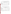**Table 6-4. Agency Burden/Cost for Mail Surveys and Evaluation Forms**\*

| <b>Activities</b>                                                                                                                                                              | Manager<br>$@$ \$46.3                         | <b>Burden</b><br>Technical<br>@ \$33              | <b>Hours</b><br>Clerical<br>@\$21              | Total<br><b>Hours</b>                              | <b>Total Cost</b>                                                            |
|--------------------------------------------------------------------------------------------------------------------------------------------------------------------------------|-----------------------------------------------|---------------------------------------------------|------------------------------------------------|----------------------------------------------------|------------------------------------------------------------------------------|
| Developing survey<br>Obtaining EPA approval<br>Gathering information<br>Reviewing data<br>Analyzing results<br>Storing and maintaining<br>results<br>Preparing survey findings | 1.5<br>1.0<br>0.0<br>0.0<br>2.0<br>0.0<br>5.0 | 80.0<br>4.0<br>40.0<br>8.0<br>40.0<br>2.0<br>40.0 | 8.0<br>1.0<br>16.0<br>8.0<br>0.0<br>3.0<br>8.0 | 89.5<br>6.0<br>56.0<br>16.0<br>42.0<br>5.0<br>53.0 | \$2,877.45<br>199.30<br>1,656.00<br>432.00<br>1,412.60<br>129.00<br>1,719.50 |
| Totals hours<br>Category costs                                                                                                                                                 | 9.5<br>\$439.85                               | 214.0<br>\$7,062.00                               | 44.0<br>\$924.00                               | 267.5                                              | \$8,425.85                                                                   |

**\*** Two training evaluation questionnaires planned are sim ilar in length and depth to mail surveys.

| Table 6-5.  Agency Burden/Cost for Customer Feedback Forms/Internet Screens* |                     |                                      |                                      |                |                   |  |  |  |
|------------------------------------------------------------------------------|---------------------|--------------------------------------|--------------------------------------|----------------|-------------------|--|--|--|
| <b>Activities</b>                                                            | Manager @<br>\$46.3 | <b>Burden</b><br>Technical<br>@ \$33 | <b>Hours</b><br>Clerical $@$<br>\$21 | Total<br>Hours | <b>Total Cost</b> |  |  |  |
| Developing feedback<br>instruments                                           | 1.0                 | 20.0                                 | 2.0                                  | 23.0           | \$<br>748.30      |  |  |  |
| Obtaining EPA approval                                                       | 1.0                 | 4.0                                  | 1.0                                  | 6.0            | 199.30            |  |  |  |
| Gathering information                                                        | 0.0                 | 20.0                                 | 16.0                                 | 36.0           | 996.00            |  |  |  |
| Reviewing data                                                               | 0.0                 | 8.0                                  | 8.0                                  | 16.0           | 432.00            |  |  |  |
| Analyzing results                                                            | 2.0                 | 20.0                                 | 0.0                                  | 22.0           | 752.60            |  |  |  |
| Storing and maintaining<br>results                                           | 0.0                 | 2.0                                  | 3.0                                  | 5.0            | 129.00            |  |  |  |
| Preparing survey findings                                                    | 2.0                 | 20.0                                 | 8.0                                  | 30.0           | 920.60            |  |  |  |
| <b>Total hours</b><br>Category costs                                         | 6.0<br>\$277.80     | 94.0<br>\$3,102.00                   | 38.0<br>\$798.00                     | 138.0          | \$4,177.80        |  |  |  |

# **Table 6-5. Agency Burden/Cost for Customer Feedback Forms/Internet Screens\***

\* Internet feedback forms, comment cards, short publication/meeting/workshop evaluation forms and short web-based surveys are grouped into this one category.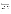| <b>Activities</b>                                                                                                                                                                    | Manager<br>@ \$46.3                           | <b>Burden</b><br>Technical<br>@\$33              | <b>Hours</b><br>Clerical $@$<br>\$21           | Total<br><b>Hours</b>                             | <b>Total Cost</b>                                                      |
|--------------------------------------------------------------------------------------------------------------------------------------------------------------------------------------|-----------------------------------------------|--------------------------------------------------|------------------------------------------------|---------------------------------------------------|------------------------------------------------------------------------|
| Developing Focus Sessions<br>Obtaining EPA approval<br><b>Conducting Focus Groups</b><br>Reviewing data<br>Analyzing results<br>Storing and maintaining result<br>Preparing findings | 1.5<br>1.0<br>0.0<br>0.0<br>1.0<br>0.0<br>3.0 | 40.0<br>4.0<br>8.0<br>4.0<br>20.0<br>2.0<br>20.0 | 40.0<br>2.0<br>8.0<br>4.0<br>0.0<br>3.0<br>8.0 | 81.5<br>7.0<br>16.0<br>8.0<br>21.0<br>5.0<br>31.0 | \$2,229.45<br>220.30<br>432.00<br>216.00<br>706.30<br>129.00<br>966.90 |
| Totals hours<br>Category costs                                                                                                                                                       | 6.5<br>\$300.95                               | 98.0<br>\$3,234.00                               | 65.0<br>\$1,365.00                             | 169.5                                             | \$4,899.95                                                             |

# **Table 6-6. Agency Burden/Cost for Focus Groups**

# **6(e) Bottom Line Burden Hours and Cost Tables**

I Respondent Tally See Table 6-1.

II The Agency Tally Tables 6-8 through 6-11 provide the Agency Tally estimates. Many surveys will be used more than once. Development and approval costs should be counted only once per instrument. Since there are many uses of the same instrument, costs were calculated counting development and approval costs for new instruments and all other costs for any repeat uses. Total EPA tally for the three-year period is \$840, 046.05.

# III Variations in the Annual Bottom Line

EPA burden hour projections are:13,219.5 hours for 2003; 8,570.0 hours for 2004; and 8, 497.0 hours for 2005. Since almost all surveys will be developed in the first year, there is a difference of 4,600 fewer hours in years two and three. Most development and approval costs for surveys will fall into 2003. In 2004 and 2005 programs and regions will use the same surveys developed in 2003. A few surveys will be done only once.

# IV Reasons for Change in Burden

Within the Agency fewer organizations than in past years have decided to do customer satisfaction surveys during the next three years, and more of them plan to use web-based or short surveys. Offices and regions will be using a variety of techniques, but will repeatedly use the same survey instruments. The number of respondent burden hours will continue to drop as more organizations use web-based surveys and feedback options, rather than longer and more formal survey instruments. Respondent burden hours are: 3,219.4 hours for 2003; 3,085.0 hours for 2004 and 2,594.4 hours for 2005.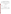# **Table 6-7. Aggregate Agency Table for Annual Burden/Cost**

| <b>Survey</b><br><b>Collection</b><br>Type                          | Annual # of<br><b>Collections</b><br>(Avg)                               | Annual<br>Hours/<br><b>Survey</b>                                                               | <b>Annual Hours</b><br>Annual<br>Cost<br><b>Survey Type</b>                                                                                                                    |                                                                                                            | <b>Annual Cost</b><br><b>Survey Type</b>               |
|---------------------------------------------------------------------|--------------------------------------------------------------------------|-------------------------------------------------------------------------------------------------|--------------------------------------------------------------------------------------------------------------------------------------------------------------------------------|------------------------------------------------------------------------------------------------------------|--------------------------------------------------------|
| Telephone                                                           | 2.6                                                                      | 351.5                                                                                           | \$10,928.65                                                                                                                                                                    | 913.9                                                                                                      | \$<br>28,414.49                                        |
| Mail                                                                | $28.0*$<br>(all <sub>3</sub> )<br>instruments<br>developed in<br>year 1) | 267.5*<br>(95.5 for<br>instrument<br>development &<br>approval year 1<br>only; 156 all<br>else) | $$1,024.12*$<br>(3instruments)<br>development<br>& approval<br>year 1 only; 0<br>hours in years<br>2 and $3$ ;<br>\$3072.35/3<br>$= $1024.12$<br>\$5,349.10<br>(all else x 28) | 95.5 (3 x 95.5)<br>in year 1 only; 0<br>hours in years 2 and<br>3; 286.5/3 = 95.5 $^*$<br>4,368 (28 x 156) | 150,798.92*<br>\$.<br>$($ 1,024.12 +$<br>\$149,774.80) |
| Feedback<br>(cards, web-<br>based, e-mail &<br>evaluation<br>forms) | 15.6                                                                     | 138.0 (9 for<br>development<br>and approval)                                                    | \$4,177.80                                                                                                                                                                     | 2,111.4                                                                                                    | \$<br>65,173.68                                        |
| <b>Focus Groups</b>                                                 | $15.33**$<br>(2 instruments)<br>total)                                   | $169.5**$<br>(88.5 for<br>instrument<br>development &<br>approval; 81.0<br>all else)            | \$2,229.45<br>** (instrument<br>development<br>& approval,<br>\$2,670.50<br>(all else)                                                                                         | 117.70 **<br>$(88.5 \times 1.33)$<br>1.241.73<br>$(81 \times 15.33)$                                       | \$43,903.94<br>$($2,965.17 +$<br>\$40,938.76)          |
| Totals                                                              | 61.53                                                                    |                                                                                                 |                                                                                                                                                                                |                                                                                                            | \$288,291.03                                           |

\* 26 of the uses in each year will be for the same evaluation of a training guide, using the same instrument for the 3-year period.

\*\* 45 of the 46 focus groups over the 3-year period will use the same instrument. In 2004, one new instrument will be developed for a one time use.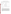| Table 6-8 Estimated Agency Costs during FY 2003 |  |  |  |
|-------------------------------------------------|--|--|--|
|                                                 |  |  |  |

| Survey<br><b>Collection Type</b>                                  | Number of<br>Collections                            | Annual<br>Hours/<br>Survey                                 | Annual<br>Cost                                                                | Annual<br><b>Hours</b><br>Survey Type | <b>Annual Cost</b><br>Survey Type |
|-------------------------------------------------------------------|-----------------------------------------------------|------------------------------------------------------------|-------------------------------------------------------------------------------|---------------------------------------|-----------------------------------|
| Telephone                                                         | 2                                                   | 351.5                                                      | \$10,928.65                                                                   | 703                                   | \$<br>21, 857.3                   |
| Mail/Complex<br>Evaluation<br><b>Forms</b>                        | 28 (all 3<br>instruments<br>developed in<br>year 1) | 267.5                                                      | \$8,425.85<br>(\$3,076.75)<br>develop/approve;<br>\$5,349.10 all<br>else)     | 7,490                                 | 149, 774.80                       |
| Feedback<br>(cards,<br>electronic &<br>short evaluation<br>forms) | 18                                                  | 138 (29<br>develop/approv<br>e; 109 all else)              | \$4, 177.80<br>(\$947.30<br>develop/approve;<br>\$3,230 all else)             | 2,484                                 | 75,200.40                         |
| <b>Focus Groups</b>                                               | 15                                                  | 169.5 (88.5<br>to develop &<br>approval; 81.0<br>all else) | \$<br>4,889.95<br>(\$2,449.45)<br>develop/approve;<br>\$2,450.50 all<br>else) | 2, 542.5                              | 73, 349.25                        |
| Totals                                                            | 63                                                  |                                                            |                                                                               | 13,219.5                              | \$320, 181.75                     |

# V Burden Statement

The following statement applies overall to the planned surveys for the next three years:

Public reporting burden for this collection of information is estimated to average 9.2 minutes per response, including the time for reviewing instructions, gathering information, and completing and reviewing the collection of information. Send comments on the Agency's need for this information, the accuracy of the provided burden estimates, and any suggestions for reducing the burden, including the use of automated collection techniques to the Director, Information Collections Division, Office of Environmental Information, United States Environmental Protection Agency (Mail Code 2822T)**,** 1200 Pennsylvania Avenue , NW, Washington, D.C. 20460; and to the Office of Information & Regulatory Affairs, Office of Management & Budget, 725 17th Street, NW, Washington, DC 20503, Attention: Desk Officer for EPA. Include the EPA ICR number and the OMB control number in any correspondence.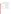| Survey<br>Collection<br>Type                                      | Number of<br>Collections | Annual<br>Hours/<br>Survey | Annual<br>Cost                                                                               | Annual<br><b>Hours</b><br>Survey<br>Type                                         | <b>Annual Cost</b><br>Survey Type           |
|-------------------------------------------------------------------|--------------------------|----------------------------|----------------------------------------------------------------------------------------------|----------------------------------------------------------------------------------|---------------------------------------------|
| Telephone                                                         | 4(2 new)                 | 351.5                      | \$10.928.65<br>(\$2,008 to<br>develop/ approve;<br>\$8,920.65 for all<br>else)               | 1, 271<br>(67.5 to develop/<br>approve; 284 for<br>all else = $135+$<br>1,136    | \$<br>39,698.60<br>$($4,016 + $35,682.60)$  |
| Mail/Complex<br>Evaluation<br><b>F</b> orm <sub>s</sub>           | 28                       | 267.5                      | \$5,349.10<br>(\$3,076.75<br>develop/approve;<br>\$5,349.10 all<br>else:<br>28 x \$5,349.10) | 4,368<br>$(95.5$ develop/<br>approve in 2003<br>only; 156 all<br>else: 156 x 28) | \$149,774.80<br>$(28 \times $5,349.10)$     |
| Feedback<br>(cards,<br>electronic &<br>short evaluation<br>forms) | 15                       | 138                        | 4,177.80<br>(947.60 develop/<br>approve;<br>3,230.20 all else;<br>15 x 3,230.20)             | 1,635<br>(29 develop/<br>approve; 109 all<br>else; 109 x 15)                     | \$<br>48, 453.00<br>$(15 \times 3, 230.20)$ |
| Focus Groups &<br>Interviews                                      | 16                       | 169.5                      | \$4,889.95<br>(\$2.225.50<br>develop/approve<br>2,229.00 all else,<br>$$2,229 \times 16)$    | 1, 296 (88.5<br>for instrument<br>development &<br>approval; 81.0<br>all else)   | \$<br>35.664.00<br>$(16 \times $2,229)$     |
| Totals                                                            | 63                       |                            |                                                                                              | 8.570                                                                            | \$273,590.40                                |

**Table 6-9 Estimated Agency Costs during FY 2004**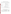| Survey<br><b>Collection Type</b>                                  | Number of<br>Collections | Annual<br>Hours/<br>Survey                                        | Annual<br>Cost                                                                                 | <b>Annual Hours</b><br>Survey Type                                                      | <b>Annual Cost</b><br>Survey Type       |
|-------------------------------------------------------------------|--------------------------|-------------------------------------------------------------------|------------------------------------------------------------------------------------------------|-----------------------------------------------------------------------------------------|-----------------------------------------|
| Telephone                                                         | $\overline{2}$           | 351.5                                                             | \$10.928.65<br>(\$2,008 to<br>develop/<br>approve;<br>\$8,920.65 for all<br>else)              | 1, 271<br>(67.5 to develop/<br>approve; 284 for<br>all else; 135+<br>1,136              | \$17,841.30<br>$(2 \times $8,920.65)$   |
| Mail/Complex<br>Evaluation<br>Forms                               | 28                       | 267.5                                                             | \$5,349.10<br>(\$3,076.75)<br>develop/approve<br>; \$5,349.10 all<br>else:<br>28 x \$5,349.10) | 4,368<br>(95.5 develop/<br>approve in 2003<br>only; 156 all<br>else; 156 x 28)          | \$149,774.80<br>$(28 \times $5,349.10)$ |
| Feedback<br>(cards,<br>electronic &<br>short evaluation<br>forms) | 14                       | 138.0                                                             | 4,177.80<br>(947.60)<br>develop/<br>approve;<br>3,230.20 all<br>else; 14 x<br>3,230.20         | 1.562<br>(29 develop/<br>approve; 109 all<br>else; 109 x 14)                            | \$45,222.80<br>$(14 \times 3, 230.20)$  |
| <b>Focus Groups</b>                                               | 15                       | 169.5 (88.5 for<br>instrument<br>development &<br>approval; 81.0) | \$4,889.95<br>(\$2,225.50<br>develop/approve<br>2.229.00 all<br>else, \$2,229 x<br>15)         | 1, 296 (88.5 for<br>instrument<br>development &<br>approval; 81.0 all<br>else; 81 x 15) | \$33,435.00<br>$($2,229 \times 15)$     |
| Totals                                                            | 59                       |                                                                   |                                                                                                | 8,497                                                                                   | \$246, 273.90                           |

**Table 6-10 Estimated Agency Costs during FY 2005**

# **Table 6-11 Aggregate EPA and Respondent Costs**

|       | Surveys | EPA hours | EPA costs     | Respondent hours Respondent costs |              |
|-------|---------|-----------|---------------|-----------------------------------|--------------|
| 2003  | 63      | 13, 219.5 | \$320, 181.75 | 3, 219.4                          | \$48, 934.88 |
| 2004  | 63      | 8,570.0   | \$273, 590.40 | 3,085.0                           | 46, 892.00   |
| 2005  | 59      | 8, 497.0  | \$246, 273.90 | 2, 594.4                          | 39, 434.88   |
| Total | 185     | 30, 286.5 | \$840, 046.05 | 8, 898.8                          | \$135,261.76 |

Three year total respondents: 58,827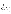# **EXHIBITS Samples of past OMB - Approved EPA Survey Instruments**

Eight different OMB approved survey instruments follow as Exhibits 1 - 7.

| Comment/Feedback Card         | 31 |
|-------------------------------|----|
| Telephone                     | 32 |
| <b>Interview Surveys</b>      | 35 |
| Website Survey                | 40 |
| Mail/E-Mail Survey            | 42 |
| <b>Focus Group Guide</b>      | 45 |
| <b>Evaluation Survey/Form</b> | 46 |
| Website Feedback Screen       | 47 |
|                               |    |

All future surveys under this ICR are to include, on or near the first page of the survey, a burden statement specific to that survey explaining the number of hours/minutes per year per respondent and what that burden entails (E.g.: Respondent burden for this survey is estimated to be five minutes for reading and responding to the questions.) as well as the following paragraphs.

Burden means the total time, effort, or financial resources expended by persons to generate, maintain, retain, or disclose or provide information to or for a Federal agency. This includes the time needed to review instructions; develop, acquire, install, and utilize technology and systems for the purposes of collecting, validating, and verifying information, processing and maintaining information, and disclosing and providing information; adjust the existing ways to comply with any previously applicable instructions and requirements; train personnel to be able to respond to a collection of information; search data sources; complete and review the collection of information; and transmit or otherwise disclose the information. An agency may not conduct or sponsor, and a person is not required to respond to, a collection of information unless it displays a currently valid OMB control number. The OMB control numbers for EPA's regulations are listed in 40 CFR Part 9 and 48 CFR Chapter 15.

Send comments on the Agency's need for this information, the accuracy of the provided burden estimates, and any suggested methods for minimizing respondent burden, including through the use of automated collection techniques to the Director, Collection Strategies Division, U.S. Environmental Protection Agency (2822T), 1200 Pennsylvania Ave., NW, Washington, D.C. 20460; and to the Office of Information and Regulatory Affairs, Office of Management and Budget, 725 17th Street, NW, Washington, DC 20503, Attention: Desk Officer for EPA. Include the EPA ICR number 1711.04 and OMB control number 2090-2119 in any correspondence.

# **All future surveys under this ICR are to include the following OMB number and expiration date information at the top right hand corner of the survey's first page:**

OMB CONTROL NO: 2090-0019 EXPIRATION DATE: 03/31/2003

*At the request of OEI's Collections Division Staff, the preparer of this ICR application added the above paragraphs, a burden statement specific to the survey, and the OMB number and the ICR expiration date space to each previously approved sample survey if these items were lacking.*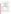**Exhibit 1 Comment/Feedback card**

OFFICIAL BUSINESS **NO POSTAGE NECESSARY**  PENALTY FOR PRIVATE USE **IF MAILED** \$300 **IN THE**

**UNITED STATES**

# **BUSINESS REPLY MAIL**

FIRST CLASS MAIL PERMIT NO. WASHINGTON, DC

# **POSTAGE WILL BE PAID BY ENVIRONMENTAL PROTECTION AGENCY**

 **U.S. Environmental Protection Agency 1200 Pennsylvania Ave, NW (Mail Code) Washington, DC 20460**

----- ------- -------- -------- -------- ------- -------- -------- -------- -------- -------- -------- -------- ------- ----- OMB C ONTR OL NO: 2090-0019 EXPIRAT ION DATE: XX/XX/XXXX

# **CUSTOMER SATISFACTION FEEDBACK CARD FOR EPA'S PARTNERSHIP PROGRAMS HOW ARE WE DOING?**

Please help us understand how well our service at the U.S. EPA is meeting your needs by completing this comment card. **Respondent burden for this survey is estimated to be five minutes for reading and responding to the questions.**

1. The information we provided: **COMMENTS/SUGGESTIONS** met your needs did not meet your needs Why not?

2. Was the person who assisted you<br>knowledgeable and polite?  $\Box$  Yes  $\Box$  No

3. How long did it take to get the **THANK YOU VERY MUCH!** information you requested? days NAME

Was this reasonable?  $\Box$  Yes  $\Box$  No MAIL CODE

What would have been reasonable?

If you have questions or comments on this card, please Please explain: call our office at (fill in partnership program number)

PHONE NUMBER

.<br>Burden means the total time, effort, or financial resources expended by persons to generate, maintain, retain, or disclose or provide information to or for a Federal agency. This<br>includes the time needed to review instru processing and maintaining information, and disclosing and providing information; adjust the existing ways to comply with any previously applicable instructions and requirements; train personnel to be able to respond to a collection of information; search data sources; complete and review the collection of information; and transmit or otherwise disclose the

information. An agency may not conduct or sponsor, and a person is not required to respond to, a collection of information unless it displays a currently valid OMB control number. The OMB control numbers for EPA's regulations are listed in 40 CFR Part 9 and 48 CFR Chapter 15.

Send comments on the Agency's need for this information, the accuracy of the provided burden estimates, and any suggested methods for minimizing respondent burden, induding<br>through the use of automated collection technique

Printed on recycled paper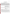# **Exhibit 2 - Telephone Survey**

# **RCRA, Superfund & EPCRA Call Center Survey Questionnaire**

**Hello, this is -----, calling on behalf of the Environmental Protection Agency. May I please speak with <First NAME><Last NAME>?**

**You recently made a call to the RCRA, Superfund & EPCRA Call Center and agreed to participate in a follow-up survey about that call. That is the purpose of this call today. With the information you provide on this survey, EPA can continually improve how services are provided to its Call Center customers. This survey will take about five minutes of your time to complete. It is purely a research effort and any information you provide will be held in strict confidence.** 

1. Which one of the following reflects how often you use the Call Center? (LIMIT 1 RESPONSE)

My last experience was my first call 1 I use the Call Center less than once a month 2 I use the Call Center 1-3 times per month 3 I use the Call Center more than 4 times per month 4  $DK/RF$  9

2. How would you categorize the reason for your most recent call to the Call Center? Was the call mainly for…

| Work                        |   |
|-----------------------------|---|
| School                      |   |
| Personal interest           |   |
| Some other reason (specify) | 8 |

Now I'd like to ask your opinions about your last Call Center inquiry.

# **Burden Statement**

**Respondent burden for this survey is estimated as five minutes to listen and respond to the questions asked.**

Burden means the total time, effort, or financial resources expended by persons to generate, maintain, retain, or disclose or provide information to or for a Federal agency. This includes the time needed to review instructions; develop, ac quire, install, and utilize technology and systems for the purposes o f collecting, validating, and verifying information, processing and m aintaining information, and disclosing and providing information; adjust the existing ways to comply w ith any previously applicable instructions and requirements; train personnel to be able to respond to a collection of information; search data sources; complete and review the collection of information; and transmit or otherw ise disclose the information. An agency may not conduct or sponsor, and a person is not required to respond to, a collection of information unless it displays a currently valid OM B control number. The OMB control numbers for EPA's regulations are listed in 40 CFR Part 9 and 48 CFR Chapter 15.

Send comments on the Agency's need for this information, the accuracy of the provided burden estimates, and any suggested methods for minimizing respondent burden, including through the use of automated collection techniques to the Director, Collection Strategies Division, U.S. Environmental Protection Agency (2822T), 1200 Pennsylvania Ave., NW, W ashington, D.C. 20460; and to the Office of Information and Regulatory Affairs, Office of Management and Budget, 725 17th Street, NW , Washington, DC 20503, Attention: Desk O fficer for EPA. Include the EPA ICR number 1711.04 and OMB control number 2090-0019 in any correspondence.

# 3. On a scale of 1 to 5 with 1 being very dissatisfied and 5 being very satisfied, what was your overall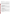satisfaction-level with the Call Center?

| Very<br>Dissatisfied |  | Very<br>Satisfied | DK/RF |
|----------------------|--|-------------------|-------|
|                      |  |                   | u     |

4. Considering your standards for quality, how well did the Call Center meet your expectations in (READ ITEM)? Would you say it was much worse than expected, worse than expected, just as expected, better than expected, or much better than expected? What about (READ ITEM)...

| Much<br>Worse | Worse | Just<br>As | <b>Better</b> | Much<br><b>Better</b> | DK/RF |
|---------------|-------|------------|---------------|-----------------------|-------|
|               |       |            |               |                       | Q     |

- a) Providing regulatory information?
- b) Referring to other sources of information?
- c) Providing general information about environmental issues?
- d) Locating and ordering documents?

5. Consider your most recent Call Center contact, on a scale of 1-5 where 1 totally missed your expectations and 5 fully exceeded your expectations, how well did the Call Center's telephone system meet your expectations with...

| Totally |  | Fully |          |       |
|---------|--|-------|----------|-------|
| Missed  |  |       | Exceeded | DK/RF |
|         |  |       |          |       |

a) Providing a variety of information on recorded messages

- b) The length of on-hold wait time
- c) The ease of navigating the phone system
- d) The length of recorded messages
- e) The hours of operation
- f) Access to Call Center on the first call attempt

6. How much do you agree with the following descriptions about the Call Center staff person with whom you most recently spoke? Would you strongly disagree, somewhat disagree, agree, mostly agree or strongly agree that the staff person....(READ ITEM)....

| Strongly | Somewhat |       | Mostly | Strongly |       |
|----------|----------|-------|--------|----------|-------|
| Disagree | Disagree | Agree | Agree  | Agree    | DK/RF |
|          |          |       |        |          |       |

a) Performed the service adequately

b) Provided prompt service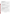- c) Had the knowledge needed to perform the service
- d) Told you what you needed to know clearly
- e) Understood what you needed to know
- f) Provided accurate information
- g) Was courteous to you

7. Using a scale of 1 to 5 with 1 being not at all important and 5 being extremely important, how important is it to you that the Call Center (READ ITEM)....

| Not    |  | Extremely |       |
|--------|--|-----------|-------|
| At All |  | Important | DK/RF |
|        |  |           |       |

- a) Provides you with regulatory information
- b) Refers you to other sources of information
- c) Provides you with general information about environmental issues
- d) Locates and orders documents

8. Considering the various electronic options for your inquiry with the Call Center, on a scale of 1 to 5 with 1 being not likely at all and 5 being extremely likely, how likely would you use....(READ ITEM)...

| Not Likely |  | Extremely |        |       |  |
|------------|--|-----------|--------|-------|--|
| At All     |  |           | Likely | DK/RF |  |
|            |  |           |        |       |  |

a) the Telephone for direct contact with Call Center staff (SKIP TO Q 10)

b) an Automated telephone system to obtain information (SKIP TO Q 10)

c) Email to receive a response within 24 hours (ONLY IF  $1$  OR  $2$  GO TO  $\overline{Q}$  9)

d) On-line email "chat" (SKIP TO Q 10)

e) Fax/fax-on-demand (SKIP TO Q 10)

9. What are your reasons for not being likely to use email for your inquiry with the Call Center?(OPEN-CODED RESPONSE)

10. If you could make one Call Center service improvement, what would it be? (OPEN-CODED RESPONSE)

**That is all the questions I have for you today. Thank you for participating in this survey.**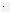# **Office of Transportation and Air Quality (OTAQ) Web Site Customer Satisfaction Survey**

*xxx NAME xxx,*

As someone with whom we work closely, and whose opinion we value greatly, we'd like your feedback, as we start a comprehensive review and possible redesign of the Office of Transportation and Air Quality (OTAQ) web site. We are interested in whether our web site meets your needs and expectations. We invite your forthright responses to these questions, along with any other comments or suggestions you can offer. We would appreciate hearing back from you by (*one week after survey is sent out*).

#### **A. Questions About You As Our Customer**

- 1. Please check the box that best describes you:
	- 9 Academic / Teacher
	- $\Box$  Student
	- $\Box$  Non-profit / non-governmental organization
	- $\Box$  State / local government
	- $\Box$  Consumer / concerned citizen
	- 9 Federal government
	- $\Box$  Manufacturing
	- $\Box$  Media
	- □ Trade Association
	- $\Box$  Consultant
	- $\Box$  Librarian
	- $\Box$  Lawyer
	- $\Box$  Other

#### **Burden Statement Respondent burden for this survey is estimated as ten minutes to read and respond to the questions asked.**

Burden means the total time, effort, or financial resources expended by persons to generate, maintain, retain, or disclose or provide information to or for a Federal agency. This includes the time needed to review instructions; develop, acquire, install, and utilize technology and systems for the purposes of collecting, validating, and verifying information, processing and maintaining information, and disclosing and providing information; adjust the existing ways to comply with any previously applicable instructions and requirements; train personnel to be able to respond to a collection of information; search data sources; complete and review the collection of information; and transmit or otherw ise disclose the information. An agency may not conduct or sponsor, and a person is not required to respond to, a collection of information unless it displays a currently valid OM B control number. The OMB control numbers for EPA's regulations are listed in 40 CFR Part 9 and 48 CFR Chapter 15.

Send co mments on the A gency's need for this information, the accuracy o f the provided burden estimates, and any suggested methods for minimizing respondent burden, including through the use of automated collection techniques to the Director, Collection Strategies Division, U.S. Environmental Protection Agency (2822T), 1200 Penn sylvania Ave., NW, W ashington, D.C. 20460; and to the Office of Information and Regulatory Affairs, Office of Management and Budget, 725 17th Street, NW , Washington, DC 20503, Attention: Desk Officer for EPA. Include the EPA ICR number 1711.04 and OMB control number 2090-0019 in any correspondence.

2. Please check all of the boxes below that describe how you use the Web site: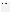- $\Box$  Find environmental information about my car or my company's vehicles
- $\Box$  Find information about a specific regulation
- $\Box$  Find information about a policy or guidance
- $\Box$  Find general information on federal auto regulations
- $\Box$  Find information on how federal government can help my State/local government
- $\Box$  Find information re how I can help control air pollution
- $\Box$  Find information on test procedures or modeling emissions
- $\Box$  Find information on how I can get federal assistance or a grant

 $\_$  , and the set of the set of the set of the set of the set of the set of the set of the set of the set of the set of the set of the set of the set of the set of the set of the set of the set of the set of the set of th

- $\Box$  Find EPA press releases
- $\Box$  Find information on voluntary programs like diesel retrofit, commuter choice
- $\Box$  Find educational materials
- $\Box$  Research an issue in the news
- $\Box$  Find data on automotive emissions
- $\Box$  Just browse
- $\Box$  Other

#### 3. How often do you visit the OTAQ web site?

- $\Box$  More than 4 times per week
- $\Box$  Three to 4 times a week
- $\Box$  Once or twice a week
- $\Box$  One to three times a month
- $\Box$  Less than once a month / regularly, but only occasionally
- $\Box$  Have only visited it a few times ever in my life

Please list any specific sites or pages within the OTAQ web site that you would say you visit frequently:

 $\mathcal{L}_\text{max} = \frac{1}{2} \sum_{i=1}^{n} \frac{1}{2} \sum_{i=1}^{n} \frac{1}{2} \sum_{i=1}^{n} \frac{1}{2} \sum_{i=1}^{n} \frac{1}{2} \sum_{i=1}^{n} \frac{1}{2} \sum_{i=1}^{n} \frac{1}{2} \sum_{i=1}^{n} \frac{1}{2} \sum_{i=1}^{n} \frac{1}{2} \sum_{i=1}^{n} \frac{1}{2} \sum_{i=1}^{n} \frac{1}{2} \sum_{i=1}^{n} \frac{1}{2} \sum_{i=1}^{n} \frac{1$ 

 $\_$  , and the set of the set of the set of the set of the set of the set of the set of the set of the set of the set of the set of the set of the set of the set of the set of the set of the set of the set of the set of th

#### **B. Questions About Your Satisfaction with Service Provided by the OTAQ Web Site**

4. How satisfied are you generally with the ease of finding the information you need?

- $\Box$  Extremely dissatisfied
- $\Box$  Very dissatisfied
- $\neg$  Dissatisfied
- 9 Satisfied
- $\Box$  Very satisfied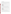- $\Box$  Extremely satisfied
- $\Box$  Don't know/Not applicable

Please list any comments that you may have about how the site meets your information needs:

 $\mathcal{L}_\text{max} = \frac{1}{2} \sum_{i=1}^{n} \frac{1}{2} \sum_{i=1}^{n} \frac{1}{2} \sum_{i=1}^{n} \frac{1}{2} \sum_{i=1}^{n} \frac{1}{2} \sum_{i=1}^{n} \frac{1}{2} \sum_{i=1}^{n} \frac{1}{2} \sum_{i=1}^{n} \frac{1}{2} \sum_{i=1}^{n} \frac{1}{2} \sum_{i=1}^{n} \frac{1}{2} \sum_{i=1}^{n} \frac{1}{2} \sum_{i=1}^{n} \frac{1}{2} \sum_{i=1}^{n} \frac{1$ 

 $\mathcal{L}_\text{max} = \frac{1}{2} \sum_{i=1}^{n} \frac{1}{2} \sum_{i=1}^{n} \frac{1}{2} \sum_{i=1}^{n} \frac{1}{2} \sum_{i=1}^{n} \frac{1}{2} \sum_{i=1}^{n} \frac{1}{2} \sum_{i=1}^{n} \frac{1}{2} \sum_{i=1}^{n} \frac{1}{2} \sum_{i=1}^{n} \frac{1}{2} \sum_{i=1}^{n} \frac{1}{2} \sum_{i=1}^{n} \frac{1}{2} \sum_{i=1}^{n} \frac{1}{2} \sum_{i=1}^{n} \frac{1$ 

## 5. How satisfied are you with the site content and subject matter?

- $\Box$  Extremely dissatisfied
- $\Box$  Very dissatisfied
- 9 Dissatisfied
- 9 Satisfied
- $\Box$  Very satisfied
- $\Box$  Extremely satisfied
- $\Box$  Don't know/Not applicable

Please list any comments that you may have about the site content and subject matter:

\_\_\_\_\_\_\_\_\_\_\_\_\_\_\_\_\_\_\_\_\_\_\_\_\_\_\_\_\_\_\_\_\_\_\_\_\_\_\_\_\_\_\_\_\_\_\_\_\_\_\_\_\_\_\_\_\_\_\_\_\_\_\_\_\_\_\_\_\_\_

 $\mathcal{L}_\text{max}$  , and the contribution of the contribution of the contribution of the contribution of the contribution of the contribution of the contribution of the contribution of the contribution of the contribution of t

6. How satisfied are you with the ease of understanding the language on the OTAQ Web site?

- $\square$  Extremely dissatisfied
- $\Box$  Very dissatisfied
- 9 Dissatisfied
- 9 Satisfied
- $\Box$  Very satisfied
- $\Box$  Extremely satisfied
- $\Box$  Don't know/Not applicable

Please list any comments that you may have about the language of the site:

7. How satisfied are you with the navigability of the site (ease of moving around, site structure, links,

 $\_$  , and the set of the set of the set of the set of the set of the set of the set of the set of the set of the set of the set of the set of the set of the set of the set of the set of the set of the set of the set of th

\_\_\_\_\_\_\_\_\_\_\_\_\_\_\_\_\_\_\_\_\_\_\_\_\_\_\_\_\_\_\_\_\_\_\_\_\_\_\_\_\_\_\_\_\_\_\_\_\_\_\_\_\_\_\_\_\_\_\_\_\_\_\_\_\_\_\_\_\_\_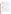search feature, etc.)?

- $\Box$  Extremely dissatisfied
- $\Box$  Very dissatisfied
- 9 Dissatisfied
- $\Box$  Satisfied
- $\Box$  Very satisfied
- $\Box$  Extremely satisfied
- 9 Don't know/Not applicable

Please list any comments that you may have about the navigability of the site:

 $\mathcal{L}_\text{max} = \frac{1}{2} \sum_{i=1}^{n} \frac{1}{2} \sum_{i=1}^{n} \frac{1}{2} \sum_{i=1}^{n} \frac{1}{2} \sum_{i=1}^{n} \frac{1}{2} \sum_{i=1}^{n} \frac{1}{2} \sum_{i=1}^{n} \frac{1}{2} \sum_{i=1}^{n} \frac{1}{2} \sum_{i=1}^{n} \frac{1}{2} \sum_{i=1}^{n} \frac{1}{2} \sum_{i=1}^{n} \frac{1}{2} \sum_{i=1}^{n} \frac{1}{2} \sum_{i=1}^{n} \frac{1$ 

 $\mathcal{L}_\text{max} = \frac{1}{2} \sum_{i=1}^{n} \frac{1}{2} \sum_{i=1}^{n} \frac{1}{2} \sum_{i=1}^{n} \frac{1}{2} \sum_{i=1}^{n} \frac{1}{2} \sum_{i=1}^{n} \frac{1}{2} \sum_{i=1}^{n} \frac{1}{2} \sum_{i=1}^{n} \frac{1}{2} \sum_{i=1}^{n} \frac{1}{2} \sum_{i=1}^{n} \frac{1}{2} \sum_{i=1}^{n} \frac{1}{2} \sum_{i=1}^{n} \frac{1}{2} \sum_{i=1}^{n} \frac{1$ 

 $\mathcal{L}_\text{max} = \frac{1}{2} \sum_{i=1}^{n} \frac{1}{2} \sum_{i=1}^{n} \frac{1}{2} \sum_{i=1}^{n} \frac{1}{2} \sum_{i=1}^{n} \frac{1}{2} \sum_{i=1}^{n} \frac{1}{2} \sum_{i=1}^{n} \frac{1}{2} \sum_{i=1}^{n} \frac{1}{2} \sum_{i=1}^{n} \frac{1}{2} \sum_{i=1}^{n} \frac{1}{2} \sum_{i=1}^{n} \frac{1}{2} \sum_{i=1}^{n} \frac{1}{2} \sum_{i=1}^{n} \frac{1$ 

8. Overall, how satisfied are you with the OTAQ Web site?

- $\Box$  Extremely dissatisfied
- $\Box$  Very dissatisfied
- 9 Dissatisfied
- 9 Satisfied
- $\Box$  Very satisfied
- $\Box$  Extremely satisfied
- □ Don't know/Not applicable
- 9. What would make the OTAQ Web site even more satisfactory for you?

10a. How satisfied are you with the *performance* (workable links, downloading time, etc.) of the OTAQ Web site?

 $\mathcal{L}_\text{max} = \frac{1}{2} \sum_{i=1}^{n} \frac{1}{2} \sum_{i=1}^{n} \frac{1}{2} \sum_{i=1}^{n} \frac{1}{2} \sum_{i=1}^{n} \frac{1}{2} \sum_{i=1}^{n} \frac{1}{2} \sum_{i=1}^{n} \frac{1}{2} \sum_{i=1}^{n} \frac{1}{2} \sum_{i=1}^{n} \frac{1}{2} \sum_{i=1}^{n} \frac{1}{2} \sum_{i=1}^{n} \frac{1}{2} \sum_{i=1}^{n} \frac{1}{2} \sum_{i=1}^{n} \frac{1$ 

\_\_\_\_\_\_\_\_\_\_\_\_\_\_\_\_\_\_\_\_\_\_\_\_\_\_\_\_\_\_\_\_\_\_\_\_\_\_\_\_\_\_\_\_\_\_\_\_\_\_\_\_\_\_\_\_\_\_\_\_\_\_\_\_\_\_\_\_\_\_

\_\_\_\_\_\_\_\_\_\_\_\_\_\_\_\_\_\_\_\_\_\_\_\_\_\_\_\_\_\_\_\_\_\_\_\_\_\_\_\_\_\_\_\_\_\_\_\_\_\_\_\_\_\_\_\_\_\_\_\_\_\_\_\_\_\_\_\_\_\_

- $\Box$  Extremely dissatisfied
- $\Box$  Very dissatisfied
- 9 Dissatisfied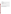- $\Box$  Satisfied
- $\Box$  Very satisfied
- $\Box$  Extremely satisfied
- □ Don't know/Not applicable

10b. If extremely dissatisfied, very dissatisfied or dissatisfied, please check as many items as apply:

 $\_$  , and the set of the set of the set of the set of the set of the set of the set of the set of the set of the set of the set of the set of the set of the set of the set of the set of the set of the set of the set of th

 $\mathcal{L}_\text{max} = \frac{1}{2} \sum_{i=1}^{n} \frac{1}{2} \sum_{i=1}^{n} \frac{1}{2} \sum_{i=1}^{n} \frac{1}{2} \sum_{i=1}^{n} \frac{1}{2} \sum_{i=1}^{n} \frac{1}{2} \sum_{i=1}^{n} \frac{1}{2} \sum_{i=1}^{n} \frac{1}{2} \sum_{i=1}^{n} \frac{1}{2} \sum_{i=1}^{n} \frac{1}{2} \sum_{i=1}^{n} \frac{1}{2} \sum_{i=1}^{n} \frac{1}{2} \sum_{i=1}^{n} \frac{1$ 

 $\mathcal{L}_\text{max} = \frac{1}{2} \sum_{i=1}^{n} \frac{1}{2} \sum_{i=1}^{n} \frac{1}{2} \sum_{i=1}^{n} \frac{1}{2} \sum_{i=1}^{n} \frac{1}{2} \sum_{i=1}^{n} \frac{1}{2} \sum_{i=1}^{n} \frac{1}{2} \sum_{i=1}^{n} \frac{1}{2} \sum_{i=1}^{n} \frac{1}{2} \sum_{i=1}^{n} \frac{1}{2} \sum_{i=1}^{n} \frac{1}{2} \sum_{i=1}^{n} \frac{1}{2} \sum_{i=1}^{n} \frac{1$ 

- $\Box$  Broken links
- $\Box$  Navigational difficulty (e.g., not finding what I need)
- $\Box$  Lengthy download time
- □ Other:

Thanks so much for taking the time to review this site! Based on all the comments we receive, we hope to make improvements to the site to make it easier for you to use.

**Also see: http://www.varitools.com/EPAProd/FormNew.asp**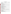# **Exhibit 4 - Interview Sample Interview Guide**

## **Personal information**

OMB C ONTR OL NO: 2090-0019 EXPIRAT ION DATE: XX/XX/XXXX

- 1. Name
- 2. Member/District
- 3. Job title/location
- 4. Phone number/e-mail address \_
- 5. Years of congressional experience
- 6. Years dealing with EPA Region 3

#### Importance of EPA's products and services

On a scale of 1 to 5, with 5 being very important and 1 being unimportant or of little value, how important are these EPA products and services to your office?

- 7. Prompt responses to correspondence
- 8. Prompt responses to phone calls
- 9. Periodic office visits
- 10. Participation in meetings
- 11. Participation in site visits
- 12. Briefings (e.g., Superfund, Chesapeake Bay, air quality)
- 13. An effective working relationship with a single EPA liaison officer
- 14. Occasional access to senior EPA officials
- 15. Occasional access to EPA's technical experts
- 16. EPA's web site
- 17. EPA pamphlets and reports
- 18. Assistance in developing and reviewing legislation
- 19. Advance notice of EPA grants
- 20. Advance notice of EPA policy decisions
- 21. Advance notice of EPA enforcement

#### Evaluation of EPA's products and services

On a scale of 1 to 5, with 5 being very satisfied and 1 being very dissatisfied, how would you rate your experience with EPA for these products and services. If you haven't had significant experience with any of these activities, score 0.

- 22. Prompt responses to correspondence
- 23. Prompt responses to phone calls
- 24. Periodic office visits
- 25. Participation in meetings
- 26. Participation in site visits
- 27. Briefings (e.g., Superfund, Chesapeake Bay, air quality)
- 28. An effective working relationship with a single EPA liaison officer
- 29. Occasional access to senior EPA officials
- 30. Occasional access to EPA's technical experts
- 31. EPA's website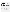- 32. EPA pamphlets and reports
- 33. Assistance in developing and reviewing legislation
- 34. Advance notice of EPA grants
- 35. Advance notice of EPA policy decisions
- 36. Advance notice of EPA enforcement

#### Letters and phone calls

37. W ithin how m any working days do you consider a written response to be prom pt?

- 38. W ithin how m any hours do you consider a phone response to be prompt?
- 39. Do you want a prompt interim response if a complete response will take more than 10 days?

40. Does your office have a policy about when to write or call EPA headquarters and when to contact EPA Region 3?

41. On a scale of 1 to 5, with 5 being rarely and 1 being frequently, how often are you dissatisfied with the quality of EPA's written and telephone responses?

#### Overall satisfaction

42. On a scale of 1 to 5, with 5 being much better, 3 being about the same, and 1 being much worse, how does EPA com pare with other federal agencies you deal with in being responsive to your office's and constituent's needs?

43. On a scale of 1 to 5, with 5 being very satisfied and 1 being very dissatisfied, what is your overall satisfaction with EPA's responsiveness to your office and constituents?

44. What has been your office's most memorable or interesting experience with EPA?

#### Requests and concerns

44. How should EPA change or improve its service to your office and constituents?

45. Are there any environmental issues or problems that you would like to learn more about from EPA?

### **Burden Statement**

**Respondent burden for this survey is estimated as thirty minutes to hear and respond to the questions asked.**

Burden means the total time, effort, or financial resources expended by persons to generate, maintain, retain, or disclose or provide information to or for a Federal agency. This includes the time needed to review instructions; develop, ac quire, install, and utilize technology and systems for the purposes o f collecting, validating, and verifying information, processing and maintaining information, and disclosing and providing information; adjust the existing ways to comply with any previously applicable instructions and requirements; train personnel to be able to respond to a collection of information; search data sources; complete and review the collection of information; and transmit or otherw ise disclose the information. An agency may not conduct or sponsor, and a person is not required to respond to, a collection of information unless it displays a currently valid OM B control number. The OMB control numbers for EPA's regulations are listed in 40 CFR Part 9 and 48 CFR Chapter 15.

Send comments on the Agency's need for this information, the accuracy of the provided burden estimates, and any suggested methods for minimizing respondent burden, including through the use of automated collection techniques to the Director, Collection Strategies Division, U.S. Environmental Protection Agency (2822T), 1200 Pennsylvania Ave., NW, W ashington, D.C. 20460; and to the Office of Information and Regulatory Affairs, Office of Management and Budget, 725 17th Street, NW , Washington, DC 20503, Attention: Desk Officer for EPA. Include the EPA ICR number 1711.04 and OMB control number 2090-0019 in any correspondence.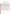### **Exhibit 5** - **Mail/E-mail Survey**

OMB C ONTR OL NO: 2090-0019 EXPIRAT ION DATE: XX/XX/XXXX

### **EPA OIG Customer/Client Survey**

#### **FY 2002 Products and Services**

#### **EMAIL Introduction to Survey:**

The Office of Inspector General is focusing on providing products and services that are valuable to out customers, partners, and stakeholders; and performed professionally, courteously and constructively. **We rely on client feedback** for planning and performance measurement to improve our products, services and operations. Data from this survey is used to compile statistics for achieving our OIG Strategic Goal 3. *Produce timely, quality & cost effective products and services that meet customer needs.* Measure: *% Customer service satisfaction rating.* Compiled data is distributed to Deputy IGs, and OIG Human Capital Managers in regional offices to aid them in providing better products to OIG customers. Summary data in percent and ratios is presented annually to the entire OIG staff to show trends on how we are serving our customers. Names of survey respondents (voluntary, if returned) are kept only for tracking status of responses and are not placed on a public database open to EPA staff.

Attached is a Customer Survey of the Office of the Inspector General. **Please take a few minutes to complete and return the short survey form your screen** by opening the attached Word Perfect **SURVEY.** 

#### **Burden Statement**

**Respondent burden for this survey is estimated as not more than ten minutes to read and respond to the questions.**

Burden means the total time, effort, or financial resources expended by persons to generate, maintain, retain, or disclose or provide information to or for a Federal agency. This includes the time needed to review instructions; develop, acquire, install, and utilize technology and systems for the purposes of collecting, validating, and verifying information, processing and maintaining information, and disclosing and providing information; adjust the existing ways to comply with any previously applicable instructions and requirements; train personnel to be able to respond to a collection of information; search data sources; complete and review the collection of information; and transmit or otherw ise disclose the information. An agency may not conduct or sponsor, and a person is not required to respond to, a collection of information unless it displays a currently valid OM B control number. The OMB control numbers for EPA's regulations are listed in 40 CFR Part 9 and 48 CFR Chapter 15.

Send comments on the Agency's need for this information, the accuracy of the provided burden estimates, and any suggested methods for minimizing respondent burden, including through the use of automated collection techniques to the Director, Collection Strategies Division, U.S. Environmental Protection Agency (2822T), 1200 Penn sylvania Ave., NW, W ashington, D.C. 20460; and to the Office of Information and Regulatory Affairs, Office of Management and Budget, 725 17th Street, NW , Washington, DC 20503, Attention: Desk Officer for EPA. Include the EPA ICR number 1711.04 and OMB control number 2090-0019 in any correspondence.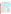# **EPA Office of Inspector General Customer Survey on 2002 Products/Services**

*Please help us to serve you better by taking about 5 -10 minutes to answer the following questions. We value your opinions and request that you please return the completed questionnaire within one week either electronically or in hard copy. Just E-mail to OIG-CUSTOMER-SURVEYS ; mail (it's pre-addressed); or FAX to (202) 260-4214*. Skip any questions you do not care to answer.

|                 | Name & Phone                                                                                                                                         |                                                                                              | Report No.                                                                                              |
|-----------------|------------------------------------------------------------------------------------------------------------------------------------------------------|----------------------------------------------------------------------------------------------|---------------------------------------------------------------------------------------------------------|
|                 | (optional)                                                                                                                                           |                                                                                              | (or Assignment No.)                                                                                     |
|                 | Name of Report, Product or Service:                                                                                                                  |                                                                                              |                                                                                                         |
|                 |                                                                                                                                                      |                                                                                              |                                                                                                         |
|                 | 1. Please specify your <b>location</b> by number (box), then office or agency<br>(0.) HQ/NPM/Office; (1-10.) Region/Div/Office; or (11.) Other/State |                                                                                              |                                                                                                         |
|                 |                                                                                                                                                      |                                                                                              |                                                                                                         |
|                 |                                                                                                                                                      | 2. Please specify (by number) the OIG product/service on which you are basing your responses |                                                                                                         |
|                 | (1.) Financial/ADP Systems Audit                                                                                                                     | (4.) Assistance (grant) Audit                                                                | (7.) Training/Presentations<br>OIG Strategic Area                                                       |
|                 | (2.) Evaluation/Performance Audit                                                                                                                    | (5.) Special Review/Comments                                                                 | (8.) Testimony/Information                                                                              |
|                 | (3.) Contract Audit                                                                                                                                  | (6.) Projects/Assistance/Analysis                                                            | $(9.)$ Other                                                                                            |
| <b>DOCUMENT</b> | For Questions $3 - 17$ , please place an X in the appropriate box to specify a response; skip any that do not apply.                                 |                                                                                              |                                                                                                         |
|                 |                                                                                                                                                      |                                                                                              | A little<br>Yes<br>No                                                                                   |
|                 | 3. Are you familiar with the IG Act & OIG mission and role?                                                                                          |                                                                                              |                                                                                                         |
|                 |                                                                                                                                                      |                                                                                              |                                                                                                         |
|                 |                                                                                                                                                      |                                                                                              | 1.-Strongly Disagree; 2.-Disagree; 3.-Somewhat Disagree; 4.-Somewhat Agree; 5.-Agree; 6.-Strongly Agree |
|                 | <b>This OIG Product/Service</b>                                                                                                                      |                                                                                              |                                                                                                         |
|                 | Is factually accurate and consistent with available information<br>4.                                                                                |                                                                                              |                                                                                                         |
|                 | 5.                                                                                                                                                   | Is objective & balanced (recognizes Agency assistance, progress and limitations)             |                                                                                                         |
|                 | Addresses relevant or significant issues<br>6.                                                                                                       |                                                                                              |                                                                                                         |
|                 | Is/was useful for decisions, actions and improvements<br>7.                                                                                          |                                                                                              |                                                                                                         |
|                 | 8.                                                                                                                                                   | Contains recommendations or information that are practical $\&$ appropriate                  |                                                                                                         |
|                 | Is clear, logical and understandable<br>9.                                                                                                           |                                                                                              |                                                                                                         |
|                 | 10. Is/was timely (for your needs & purposes)                                                                                                        |                                                                                              |                                                                                                         |
|                 | 11. Is/was responsive to Agency needs or requests for assistance                                                                                     |                                                                                              |                                                                                                         |
| <b>ARCHIVE</b>  |                                                                                                                                                      | 12. Contributes to the attainment of EPA's Strategic Goals or resolution of problems         |                                                                                                         |
|                 | <b>OIG Staff</b>                                                                                                                                     |                                                                                              | 1.-Strongly Disagree; 2.-Disagree; 3.-Somewhat Disagree; 4.-Somewhat Agree; 5.-Agree; 6.-Strongly Agree |
|                 |                                                                                                                                                      |                                                                                              |                                                                                                         |
| EPA             | 13. Are professional and courteous                                                                                                                   |                                                                                              |                                                                                                         |
|                 | 14. Are knowledgeable about the programs and/or issues involved                                                                                      |                                                                                              |                                                                                                         |
|                 |                                                                                                                                                      | 15. Communicate clearly (purpose, process, progress, issues, results & recommendations)      |                                                                                                         |
|                 | 16. Seek and consider input, comments and clarification on issues                                                                                    |                                                                                              |                                                                                                         |
|                 | 17. Encourage a constructive working relationship                                                                                                    |                                                                                              |                                                                                                         |

# **Suggestions and Comments**:

18. How can we improve the OIG products/services, processes or results? (continue on back or next page if needed)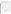19. With what products or services, and in what program areas can the OIG best serve EPA? (continue on back or next page if needed)

20. How do OIG products or services add value? If you do not believe they add value, why not? (continue on back or next page if needed)

*Please provide additional comments about any of your responses on the back or attach additional pages. For further information or to discuss comments and results call (202)260-9684. THANK YOU!*

#### **Additional Space For Comments:**

 Customer Surveys Coordinator - Office of Planning, Analysis and Results Office of Inspector General Rm 3708 NE Mail Code 2450 U. S. Environmental Protection Agency 1200 Pennsylvania Ave., N.W. Washington D.C. 20460-0001 FAX (202) 260-4214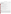## **Exhibit 6 - Focus Group Guide**

OMB C ONTR OL NO: 2090-0019 EXPIRATION DATE: 03/31/2003

#### **GILS Functional Requirements Analysis**

#### **GILS PRIORITIZATION SHEET**

NAME (OPTIONAL):

Please list the top 5 Information Categories that are most important to you:



2.

4.

2.

For each Category you've listed, Please give an example of specific information you might request, and how you would use it:

Which Information Categories are the hardest for you to obtain information about now?

### **Burden Statement**

3.

**Respondent burden for this survey is estimated as not more than two hours to travel, complete the form, and participate in focus groups discussion.**

Burden means the total time, effort, or financial resources expended by persons to generate, maintain, retain, or disclose or provide information to or for a Federal agency. This includes the time needed to review instructions; develop, acquire, install, and utilize technology and systems for the purpose s of collecting, validating, and verifying information, processing and m aintaining information, and disclosing and providing information; adjust the existing ways to comply with any previously applicable instructions and requirements; train personnel to be able to respond to a collection of information; search data sources; complete and review the collection of information; and transmit or otherwise disclose the information. An agency may not conduct or sponsor, and a person is not required to respond to, a collection of information unless it displays a currently valid OMB control number. The OMB control numbers for EPA's regulations are listed in 40 CFR Part 9 and 48 CFR Chapter 15.

Send comments on the Agency's need for this information, the accuracy of the provided burden estimates, and any suggested methods for minimizing respondent burden, including through the use of automated collection techniques to the Director, Collection Strategies Division, U.S. Environmental Protection Agency (2822T), 1200 Pennsylvania Ave., NW, Washington, D.C. 20460; and to the Office of Information and Regulatory Affairs, Office of Management and Budget, 725 17th Street, NW, Washington, DC 20503, Attention: Desk Officer for EPA. Include the EPA ICR number 1711.04 and OM B control number 2090-0019 in any correspondence.

1.

3.

5.

1.

4. 5.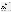Exhibit 7 - Evaluation Form

# EVALUATION AND SURVEY CARD FOR PRE-RENOVATION LEAD INFORMATION RULE PRESENTATION

presented by U.S. Environmental Protection Agency - Region III, Philadelphia, PA

Saturday, March 8, 1999 "REMODEL AMERICA 99" ATLANTIC CITY CONVENTION CENTER

|                                                                                                                | YFS NO             |
|----------------------------------------------------------------------------------------------------------------|--------------------|
| 1. Were you aware of the "Pre-renovation Rule" before today's presentation?                                    |                    |
| a) Where did you first obtain information about the Pre-renovation Rule?                                       |                    |
|                                                                                                                | <b>YES</b><br>- NO |
| b) Do you now understand the rule's requirements?                                                              |                    |
| 2. Please rate the presentation using this scale:                                                              |                    |
| 5=Excellent 4=Very Good 3=Good 2=Fair 1=Poor                                                                   | RATING             |
| a) Discussion of the Pre-renovation Rule's requirements:                                                       |                    |
|                                                                                                                |                    |
| b) Expertise of the presenter:                                                                                 |                    |
|                                                                                                                |                    |
| c) Appropriateness of the teaching strategies used (lecture,<br>Overheads, question and answer sessions, etc.) |                    |
|                                                                                                                |                    |

# **Burden Statement**

**Respondent burden for this survey is estimated as not more two minutes to read and respond to the questions.**

Burden means the total time, effort, or financial resources expended by persons to generate, maintain, retain, or disclose or provide information to or for a Federal agency. This includes the time needed to review instructions; develop, acquire, install, and utilize technology and systems for the purpose s of collecting, validating, and verifying information, processing and m aintaining information, and disclosing and providing information; adjust the existing ways to comply with any previously applicable instructions and requirements; train personnel to be able to respond to a collection of information; search data sources; complete and review the collection of information; and transmit or otherwise disclose the information. An agency may not conduct or sponsor, and a person is not required to respond to, a collection of information unless it displays a currently valid OMB control number. The OMB control numbers for EPA's regulations are listed in 40 CFR Part 9 and 48 CFR Chapter 15.

Send comments on the Agency's need for this information, the accuracy of the provided burden estimates, and any suggested methods for minimizing respondent burden, including through the use of automated collection techniques to the Director, Collection Strategies Division, U.S. Environmental Protection Agency (2822T), 1200 Pennsylvania Ave., NW, Washington, D.C. 20460; and to the Office of Information and Regulatory Affairs, Office of Management and Budget, 725 17th Street, NW, Washington, DC 20503, Attention: Desk Officer for EPA. Include the EPA ICR number 1711.04 and OM B control number 2090-0019 in any correspondence.